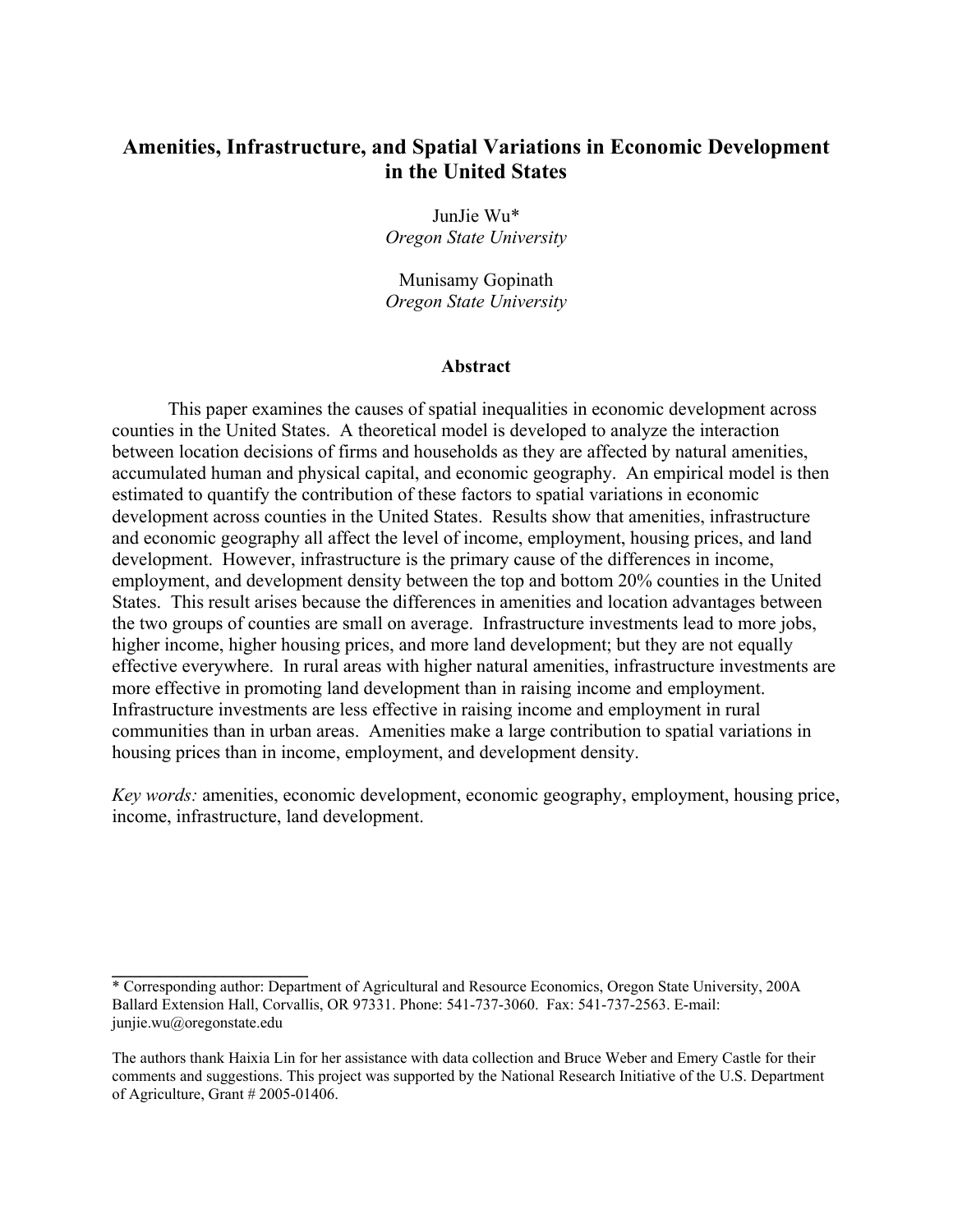# **Amenities, Infrastructure, and Spatial Variations in Economic Development in the United States**

JunJie Wu\* *Oregon State University* 

Munisamy Gopinath *Oregon State University* 

#### **Abstract**

 This paper examines the causes of spatial inequalities in economic development across counties in the United States. A theoretical model is developed to analyze the interaction between location decisions of firms and households as they are affected by natural amenities, accumulated human and physical capital, and economic geography. An empirical model is then estimated to quantify the contribution of these factors to spatial variations in economic development across counties in the United States. Results show that amenities, infrastructure and economic geography all affect the level of income, employment, housing prices, and land development. However, infrastructure is the primary cause of the differences in income, employment, and development density between the top and bottom 20% counties in the United States. This result arises because the differences in amenities and location advantages between the two groups of counties are small on average. Infrastructure investments lead to more jobs, higher income, higher housing prices, and more land development; but they are not equally effective everywhere. In rural areas with higher natural amenities, infrastructure investments are more effective in promoting land development than in raising income and employment. Infrastructure investments are less effective in raising income and employment in rural communities than in urban areas. Amenities make a large contribution to spatial variations in housing prices than in income, employment, and development density.

*Key words:* amenities, economic development, economic geography, employment, housing price, income, infrastructure, land development.

**\_\_\_\_\_\_\_\_\_\_\_\_\_\_\_\_\_\_\_\_\_** 

<sup>\*</sup> Corresponding author: Department of Agricultural and Resource Economics, Oregon State University, 200A Ballard Extension Hall, Corvallis, OR 97331. Phone: 541-737-3060. Fax: 541-737-2563. E-mail: junjie.wu@oregonstate.edu

The authors thank Haixia Lin for her assistance with data collection and Bruce Weber and Emery Castle for their comments and suggestions. This project was supported by the National Research Initiative of the U.S. Department of Agriculture, Grant # 2005-01406.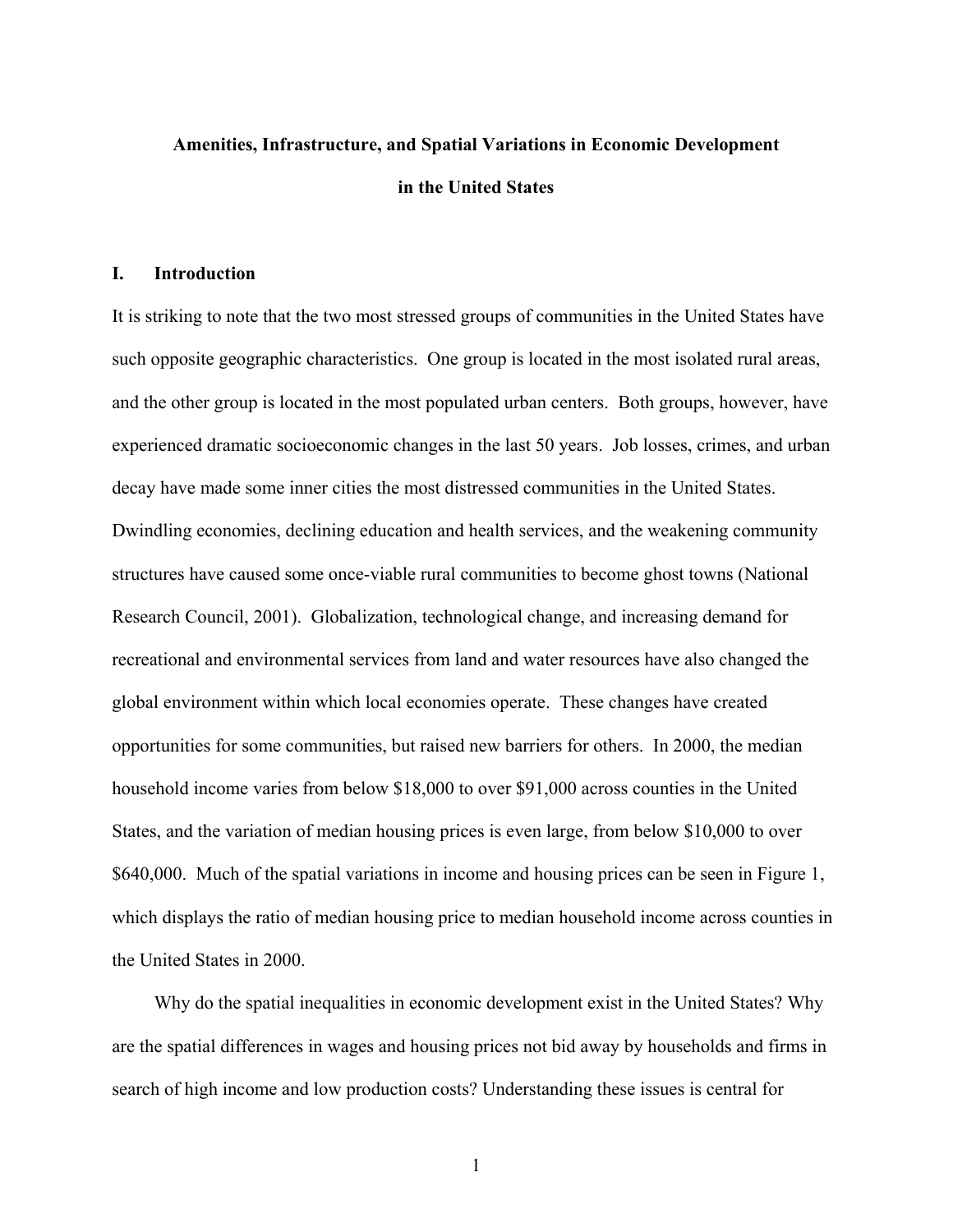# **Amenities, Infrastructure, and Spatial Variations in Economic Development in the United States**

#### **I. Introduction**

It is striking to note that the two most stressed groups of communities in the United States have such opposite geographic characteristics. One group is located in the most isolated rural areas, and the other group is located in the most populated urban centers. Both groups, however, have experienced dramatic socioeconomic changes in the last 50 years. Job losses, crimes, and urban decay have made some inner cities the most distressed communities in the United States. Dwindling economies, declining education and health services, and the weakening community structures have caused some once-viable rural communities to become ghost towns (National Research Council, 2001). Globalization, technological change, and increasing demand for recreational and environmental services from land and water resources have also changed the global environment within which local economies operate. These changes have created opportunities for some communities, but raised new barriers for others. In 2000, the median household income varies from below \$18,000 to over \$91,000 across counties in the United States, and the variation of median housing prices is even large, from below \$10,000 to over \$640,000. Much of the spatial variations in income and housing prices can be seen in Figure 1, which displays the ratio of median housing price to median household income across counties in the United States in 2000.

 Why do the spatial inequalities in economic development exist in the United States? Why are the spatial differences in wages and housing prices not bid away by households and firms in search of high income and low production costs? Understanding these issues is central for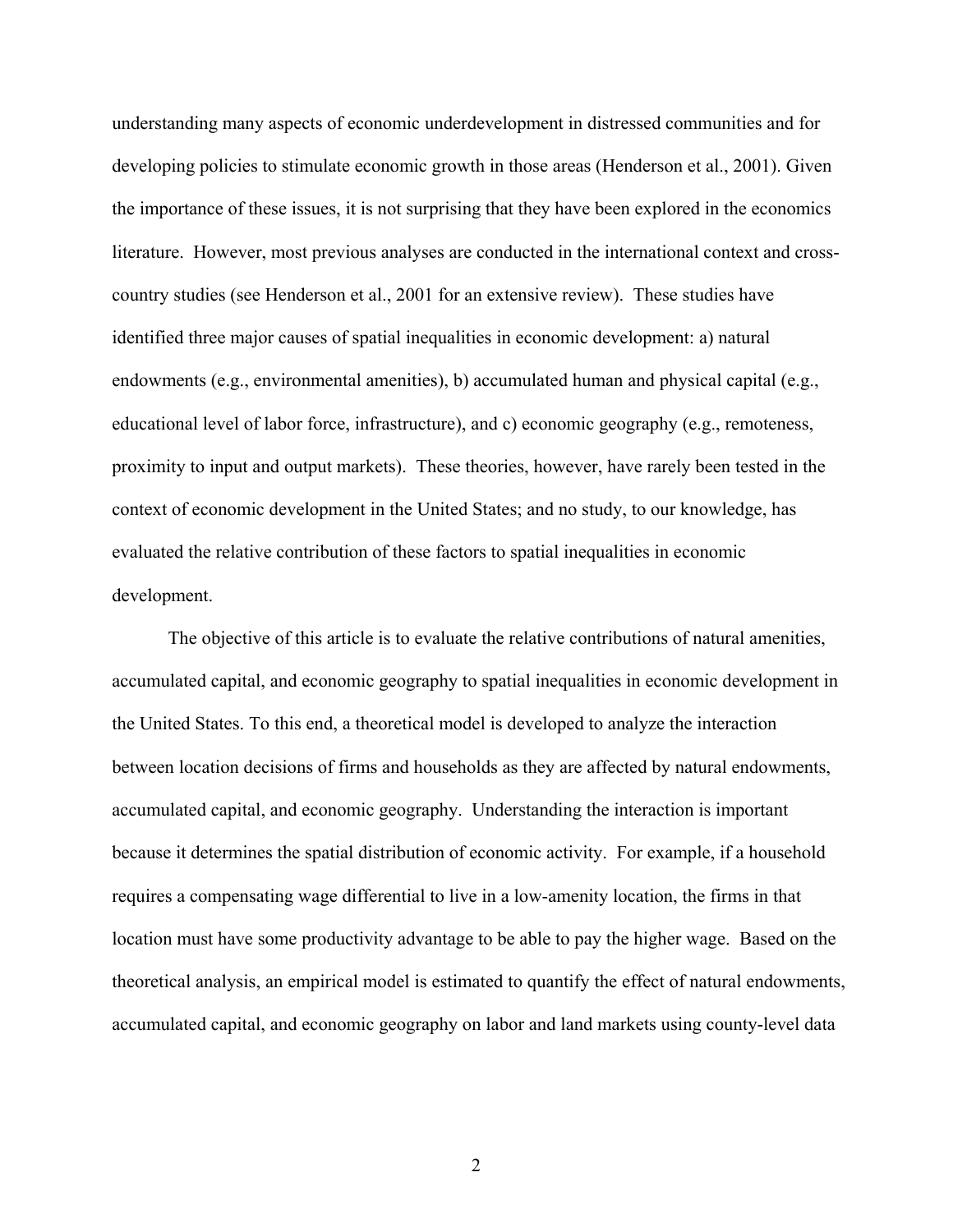understanding many aspects of economic underdevelopment in distressed communities and for developing policies to stimulate economic growth in those areas (Henderson et al., 2001). Given the importance of these issues, it is not surprising that they have been explored in the economics literature. However, most previous analyses are conducted in the international context and crosscountry studies (see Henderson et al., 2001 for an extensive review). These studies have identified three major causes of spatial inequalities in economic development: a) natural endowments (e.g., environmental amenities), b) accumulated human and physical capital (e.g., educational level of labor force, infrastructure), and c) economic geography (e.g., remoteness, proximity to input and output markets). These theories, however, have rarely been tested in the context of economic development in the United States; and no study, to our knowledge, has evaluated the relative contribution of these factors to spatial inequalities in economic development.

The objective of this article is to evaluate the relative contributions of natural amenities, accumulated capital, and economic geography to spatial inequalities in economic development in the United States. To this end, a theoretical model is developed to analyze the interaction between location decisions of firms and households as they are affected by natural endowments, accumulated capital, and economic geography. Understanding the interaction is important because it determines the spatial distribution of economic activity. For example, if a household requires a compensating wage differential to live in a low-amenity location, the firms in that location must have some productivity advantage to be able to pay the higher wage. Based on the theoretical analysis, an empirical model is estimated to quantify the effect of natural endowments, accumulated capital, and economic geography on labor and land markets using county-level data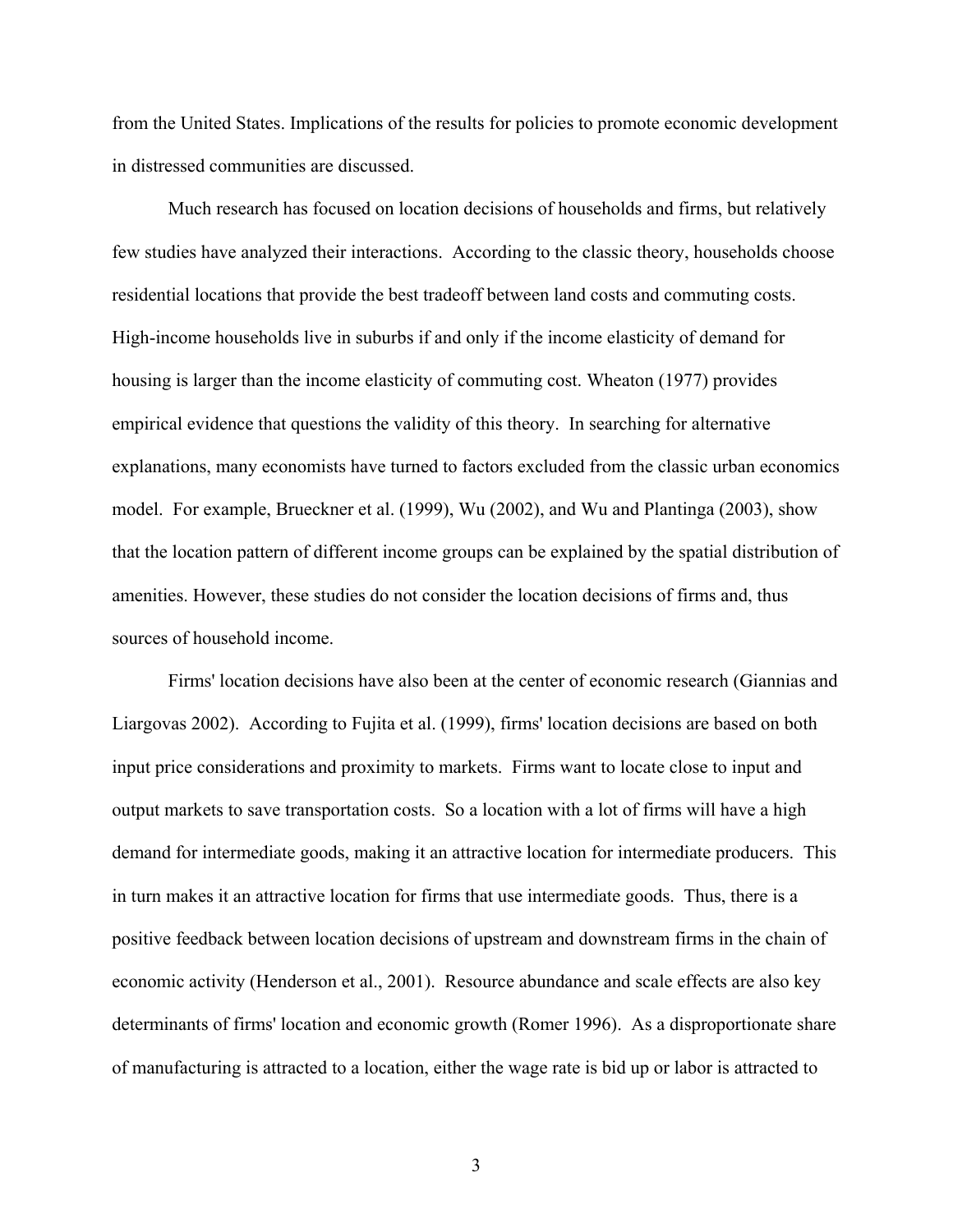from the United States. Implications of the results for policies to promote economic development in distressed communities are discussed.

 Much research has focused on location decisions of households and firms, but relatively few studies have analyzed their interactions. According to the classic theory, households choose residential locations that provide the best tradeoff between land costs and commuting costs. High-income households live in suburbs if and only if the income elasticity of demand for housing is larger than the income elasticity of commuting cost. Wheaton (1977) provides empirical evidence that questions the validity of this theory. In searching for alternative explanations, many economists have turned to factors excluded from the classic urban economics model. For example, Brueckner et al. (1999), Wu (2002), and Wu and Plantinga (2003), show that the location pattern of different income groups can be explained by the spatial distribution of amenities. However, these studies do not consider the location decisions of firms and, thus sources of household income.

Firms' location decisions have also been at the center of economic research (Giannias and Liargovas 2002). According to Fujita et al. (1999), firms' location decisions are based on both input price considerations and proximity to markets. Firms want to locate close to input and output markets to save transportation costs. So a location with a lot of firms will have a high demand for intermediate goods, making it an attractive location for intermediate producers. This in turn makes it an attractive location for firms that use intermediate goods. Thus, there is a positive feedback between location decisions of upstream and downstream firms in the chain of economic activity (Henderson et al., 2001). Resource abundance and scale effects are also key determinants of firms' location and economic growth (Romer 1996). As a disproportionate share of manufacturing is attracted to a location, either the wage rate is bid up or labor is attracted to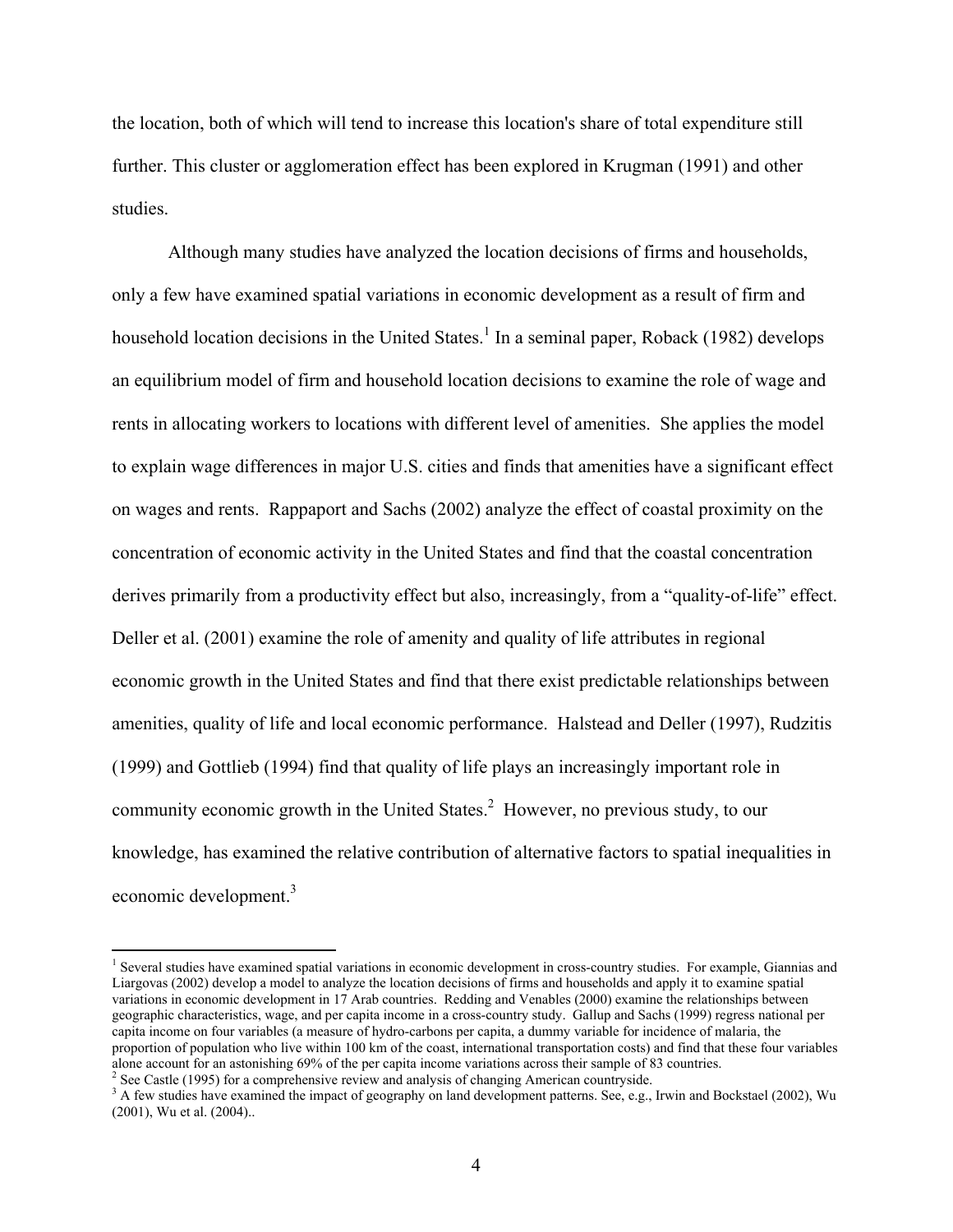the location, both of which will tend to increase this location's share of total expenditure still further. This cluster or agglomeration effect has been explored in Krugman (1991) and other studies.

Although many studies have analyzed the location decisions of firms and households, only a few have examined spatial variations in economic development as a result of firm and household location decisions in the United States.<sup>1</sup> In a seminal paper, Roback (1982) develops an equilibrium model of firm and household location decisions to examine the role of wage and rents in allocating workers to locations with different level of amenities. She applies the model to explain wage differences in major U.S. cities and finds that amenities have a significant effect on wages and rents. Rappaport and Sachs (2002) analyze the effect of coastal proximity on the concentration of economic activity in the United States and find that the coastal concentration derives primarily from a productivity effect but also, increasingly, from a "quality-of-life" effect. Deller et al. (2001) examine the role of amenity and quality of life attributes in regional economic growth in the United States and find that there exist predictable relationships between amenities, quality of life and local economic performance. Halstead and Deller (1997), Rudzitis (1999) and Gottlieb (1994) find that quality of life plays an increasingly important role in community economic growth in the United States. $2$  However, no previous study, to our knowledge, has examined the relative contribution of alternative factors to spatial inequalities in economic development.<sup>3</sup>

 $\overline{a}$ 

<sup>&</sup>lt;sup>1</sup> Several studies have examined spatial variations in economic development in cross-country studies. For example, Giannias and Liargovas (2002) develop a model to analyze the location decisions of firms and households and apply it to examine spatial variations in economic development in 17 Arab countries. Redding and Venables (2000) examine the relationships between geographic characteristics, wage, and per capita income in a cross-country study. Gallup and Sachs (1999) regress national per capita income on four variables (a measure of hydro-carbons per capita, a dummy variable for incidence of malaria, the proportion of population who live within 100 km of the coast, international transportation costs) and find that these four variables alone account for an astonishing 69% of the per capita income variations across their sample of 83 countries. 2

 $<sup>2</sup>$  See Castle (1995) for a comprehensive review and analysis of changing American countryside.</sup>

<sup>&</sup>lt;sup>3</sup> A few studies have examined the impact of geography on land development patterns. See, e.g., Irwin and Bockstael (2002), Wu (2001), Wu et al. (2004)..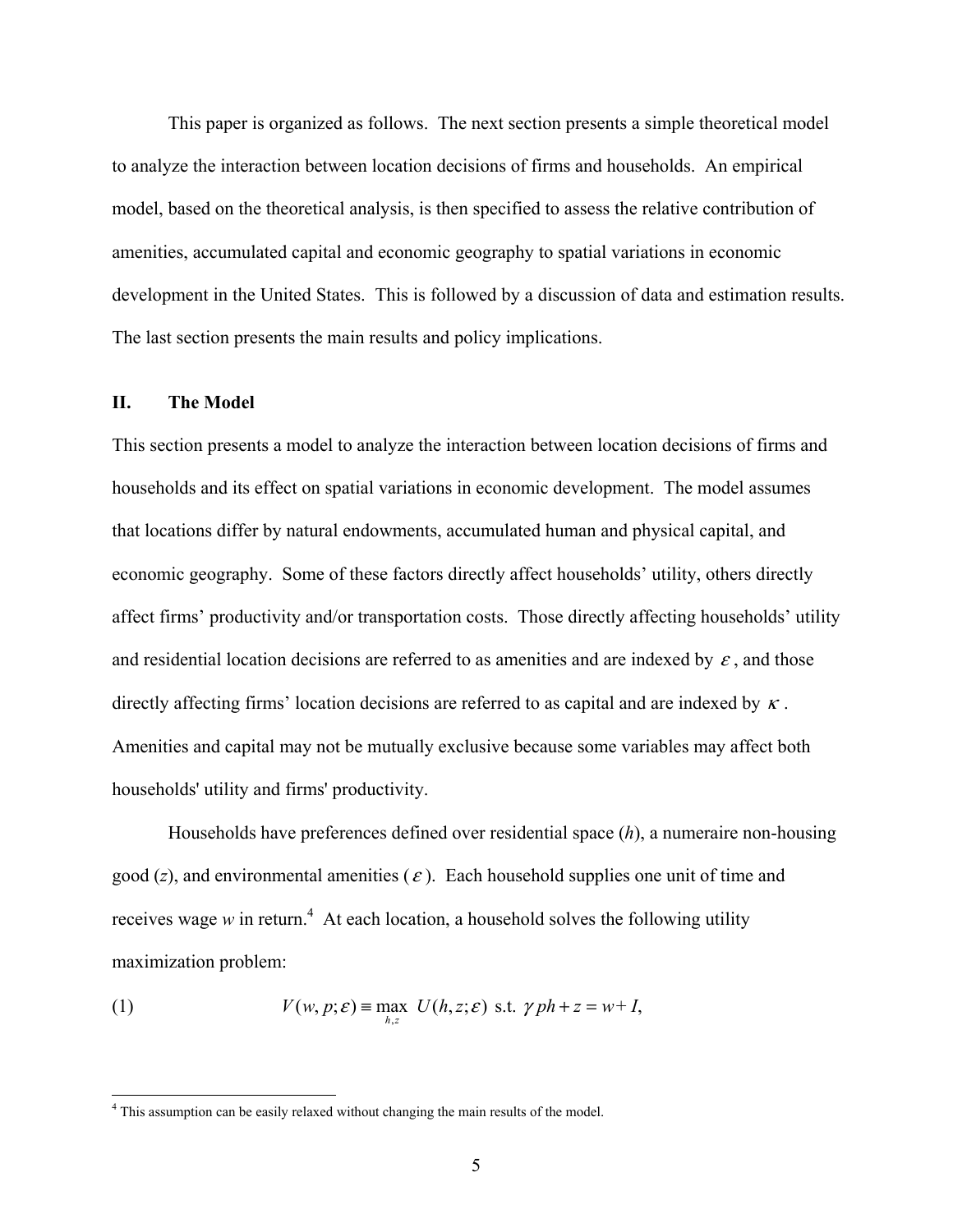This paper is organized as follows. The next section presents a simple theoretical model to analyze the interaction between location decisions of firms and households. An empirical model, based on the theoretical analysis, is then specified to assess the relative contribution of amenities, accumulated capital and economic geography to spatial variations in economic development in the United States. This is followed by a discussion of data and estimation results. The last section presents the main results and policy implications.

#### **II. The Model**

This section presents a model to analyze the interaction between location decisions of firms and households and its effect on spatial variations in economic development. The model assumes that locations differ by natural endowments, accumulated human and physical capital, and economic geography. Some of these factors directly affect households' utility, others directly affect firms' productivity and/or transportation costs. Those directly affecting households' utility and residential location decisions are referred to as amenities and are indexed by  $\varepsilon$ , and those directly affecting firms' location decisions are referred to as capital and are indexed by  $\kappa$ . Amenities and capital may not be mutually exclusive because some variables may affect both households' utility and firms' productivity.

 Households have preferences defined over residential space (*h*), a numeraire non-housing good  $(z)$ , and environmental amenities  $(\varepsilon)$ . Each household supplies one unit of time and receives wage  $w$  in return.<sup>4</sup> At each location, a household solves the following utility maximization problem:

(1) 
$$
V(w, p; \varepsilon) \equiv \max_{h,z} U(h,z;\varepsilon) \text{ s.t. } \gamma ph + z = w + I,
$$

 4 This assumption can be easily relaxed without changing the main results of the model.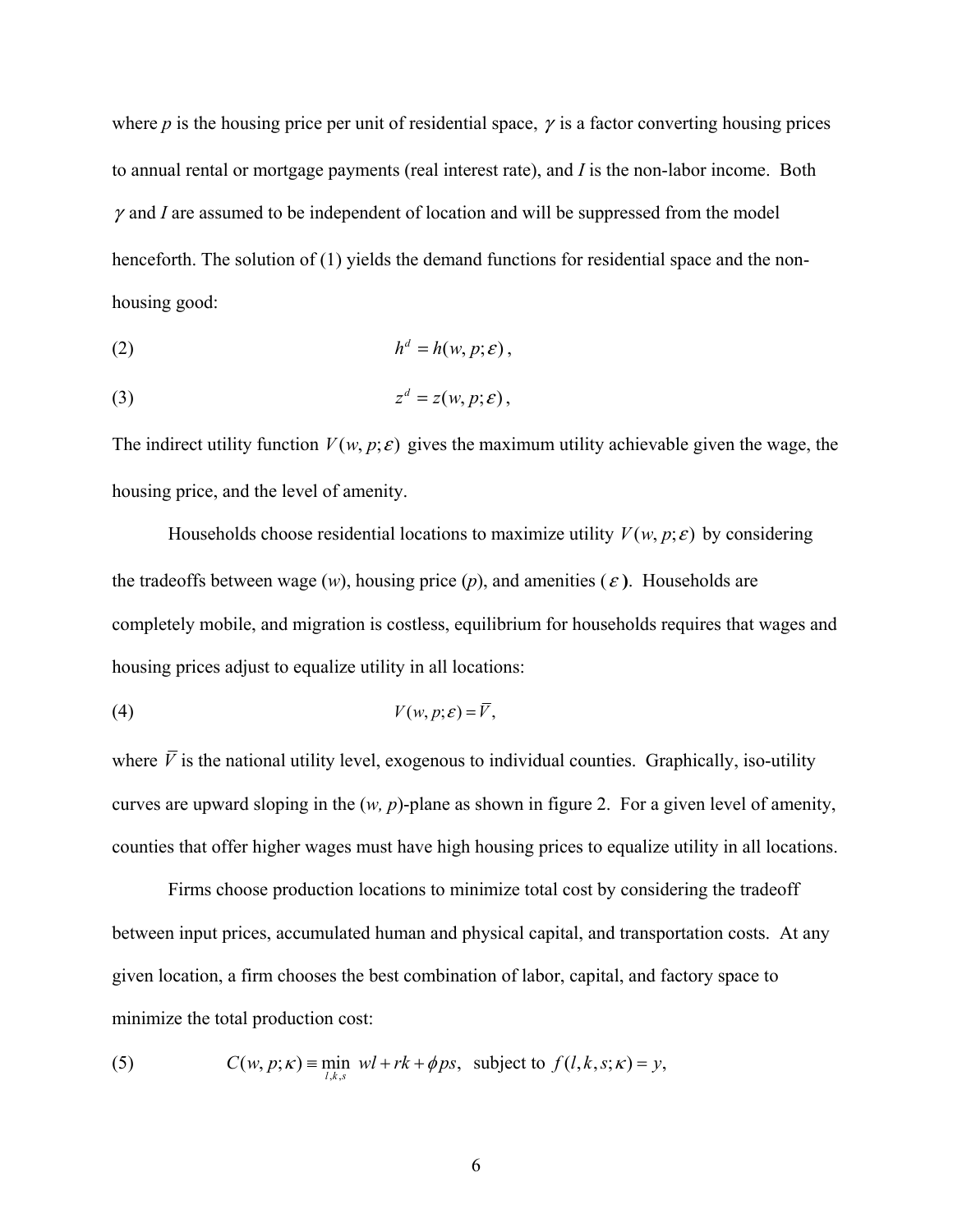where  $p$  is the housing price per unit of residential space,  $\gamma$  is a factor converting housing prices to annual rental or mortgage payments (real interest rate), and *I* is the non-labor income. Both  $\gamma$  and *I* are assumed to be independent of location and will be suppressed from the model henceforth. The solution of (1) yields the demand functions for residential space and the nonhousing good:

$$
(2) \t\t\t h^d = h(w, p; \varepsilon),
$$

$$
(3) \t\t\t zd = z(w, p; \varepsilon),
$$

The indirect utility function  $V(w, p; \varepsilon)$  gives the maximum utility achievable given the wage, the housing price, and the level of amenity.

Households choose residential locations to maximize utility  $V(w, p; \varepsilon)$  by considering the tradeoffs between wage  $(w)$ , housing price  $(p)$ , and amenities  $(\varepsilon)$ . Households are completely mobile, and migration is costless, equilibrium for households requires that wages and housing prices adjust to equalize utility in all locations:

$$
(4) \tV(w, p; \varepsilon) = \overline{V},
$$

where  $\overline{V}$  is the national utility level, exogenous to individual counties. Graphically, iso-utility curves are upward sloping in the (*w, p*)-plane as shown in figure 2. For a given level of amenity, counties that offer higher wages must have high housing prices to equalize utility in all locations.

 Firms choose production locations to minimize total cost by considering the tradeoff between input prices, accumulated human and physical capital, and transportation costs. At any given location, a firm chooses the best combination of labor, capital, and factory space to minimize the total production cost:

(5) 
$$
C(w, p; \kappa) = \min_{l,k,s} wl + rk + \phi ps, \text{ subject to } f(l,k,s;\kappa) = y,
$$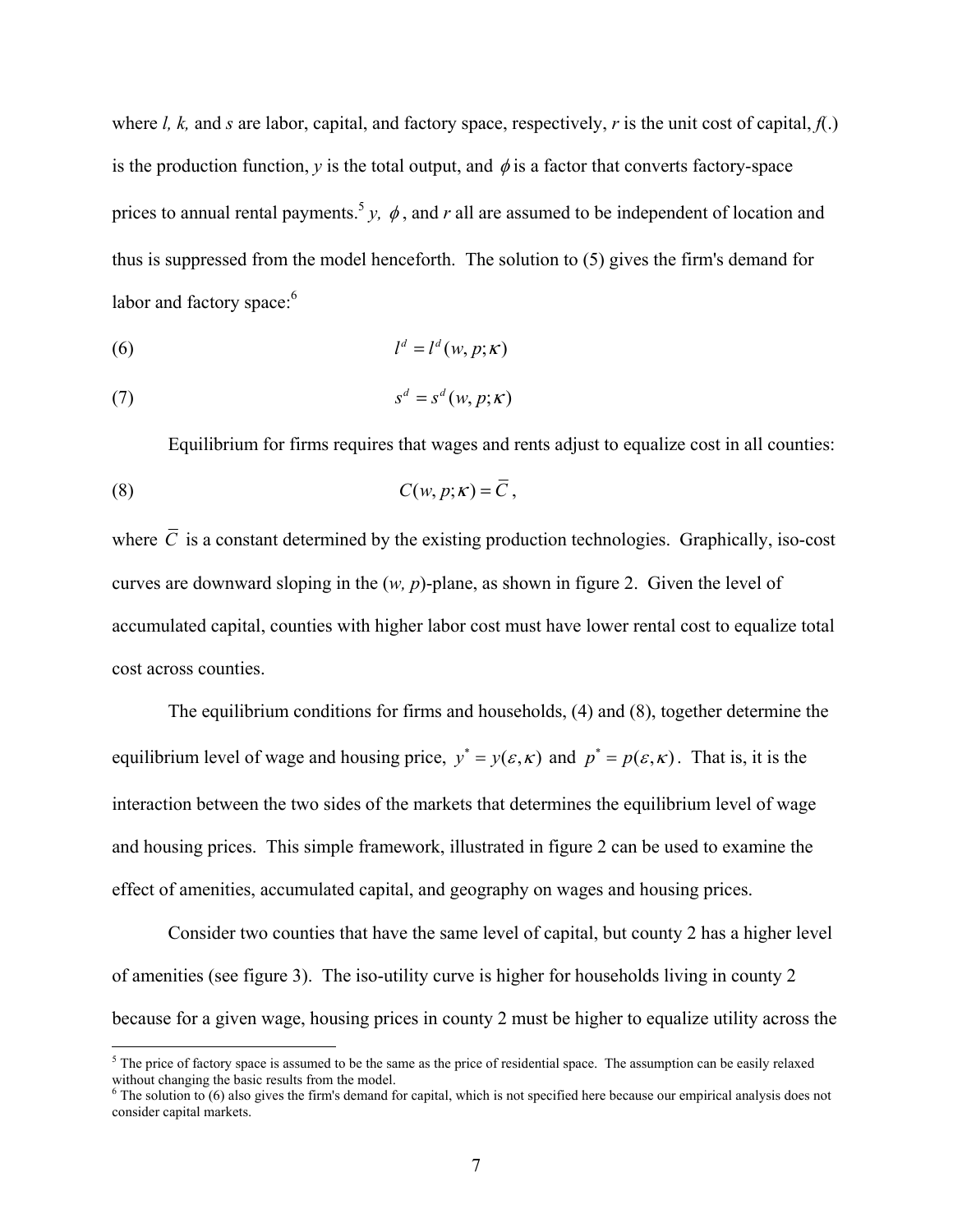where *l, k,* and *s* are labor, capital, and factory space, respectively, *r* is the unit cost of capital,  $f(.)$ is the production function,  $y$  is the total output, and  $\phi$  is a factor that converts factory-space prices to annual rental payments.<sup>5</sup> y,  $\phi$ , and r all are assumed to be independent of location and thus is suppressed from the model henceforth. The solution to (5) gives the firm's demand for labor and factory space:<sup>6</sup>

$$
l^d = l^d(w, p; \kappa)
$$

$$
(7) \t sd = sd(w, p; \kappa)
$$

 Equilibrium for firms requires that wages and rents adjust to equalize cost in all counties: (8)  $C(w, p; \kappa) = \overline{C}$ ,

where  $\overline{C}$  is a constant determined by the existing production technologies. Graphically, iso-cost curves are downward sloping in the (*w, p*)-plane, as shown in figure 2. Given the level of accumulated capital, counties with higher labor cost must have lower rental cost to equalize total cost across counties.

 The equilibrium conditions for firms and households, (4) and (8), together determine the equilibrium level of wage and housing price,  $y^* = y(\varepsilon, \kappa)$  and  $p^* = p(\varepsilon, \kappa)$ . That is, it is the interaction between the two sides of the markets that determines the equilibrium level of wage and housing prices. This simple framework, illustrated in figure 2 can be used to examine the effect of amenities, accumulated capital, and geography on wages and housing prices.

Consider two counties that have the same level of capital, but county 2 has a higher level of amenities (see figure 3). The iso-utility curve is higher for households living in county 2 because for a given wage, housing prices in county 2 must be higher to equalize utility across the

The price of factory space is assumed to be the same as the price of residential space. The assumption can be easily relaxed without changing the basic results from the model.

 $6$  The solution to  $(6)$  also gives the firm's demand for capital, which is not specified here because our empirical analysis does not consider capital markets.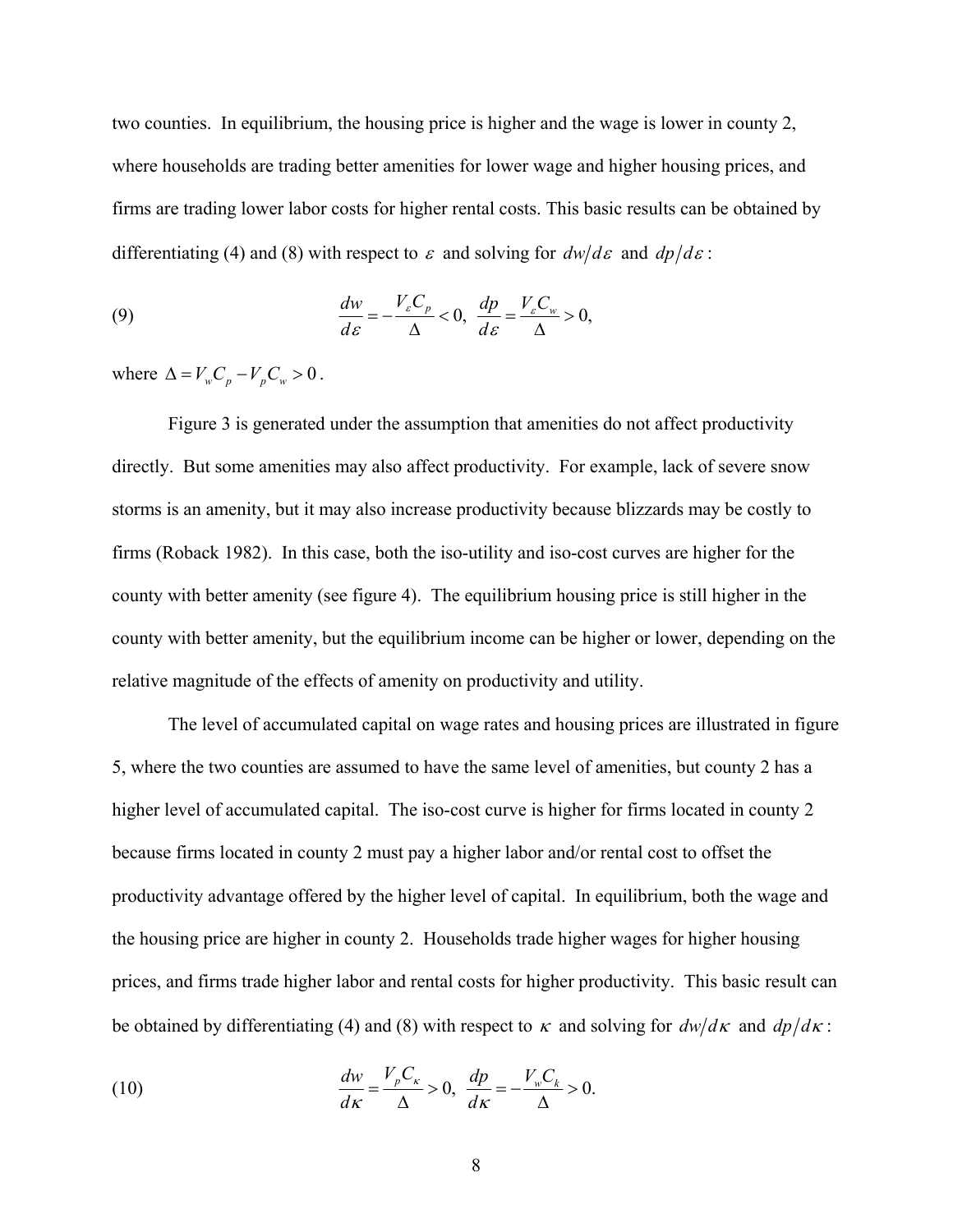two counties. In equilibrium, the housing price is higher and the wage is lower in county 2, where households are trading better amenities for lower wage and higher housing prices, and firms are trading lower labor costs for higher rental costs. This basic results can be obtained by differentiating (4) and (8) with respect to  $\varepsilon$  and solving for  $dw/d\varepsilon$  and  $dp/d\varepsilon$ :

(9) 
$$
\frac{dw}{d\varepsilon} = -\frac{V_{\varepsilon}C_p}{\Delta} < 0, \quad \frac{dp}{d\varepsilon} = \frac{V_{\varepsilon}C_w}{\Delta} > 0,
$$

where  $\Delta = V_w C_p - V_p C_w > 0$ .

 Figure 3 is generated under the assumption that amenities do not affect productivity directly. But some amenities may also affect productivity. For example, lack of severe snow storms is an amenity, but it may also increase productivity because blizzards may be costly to firms (Roback 1982). In this case, both the iso-utility and iso-cost curves are higher for the county with better amenity (see figure 4). The equilibrium housing price is still higher in the county with better amenity, but the equilibrium income can be higher or lower, depending on the relative magnitude of the effects of amenity on productivity and utility.

The level of accumulated capital on wage rates and housing prices are illustrated in figure 5, where the two counties are assumed to have the same level of amenities, but county 2 has a higher level of accumulated capital. The iso-cost curve is higher for firms located in county 2 because firms located in county 2 must pay a higher labor and/or rental cost to offset the productivity advantage offered by the higher level of capital. In equilibrium, both the wage and the housing price are higher in county 2. Households trade higher wages for higher housing prices, and firms trade higher labor and rental costs for higher productivity. This basic result can be obtained by differentiating (4) and (8) with respect to  $\kappa$  and solving for  $dw/d\kappa$  and  $dp/d\kappa$ :

(10) 
$$
\frac{dw}{d\kappa} = \frac{V_p C_\kappa}{\Delta} > 0, \quad \frac{dp}{d\kappa} = -\frac{V_w C_k}{\Delta} > 0.
$$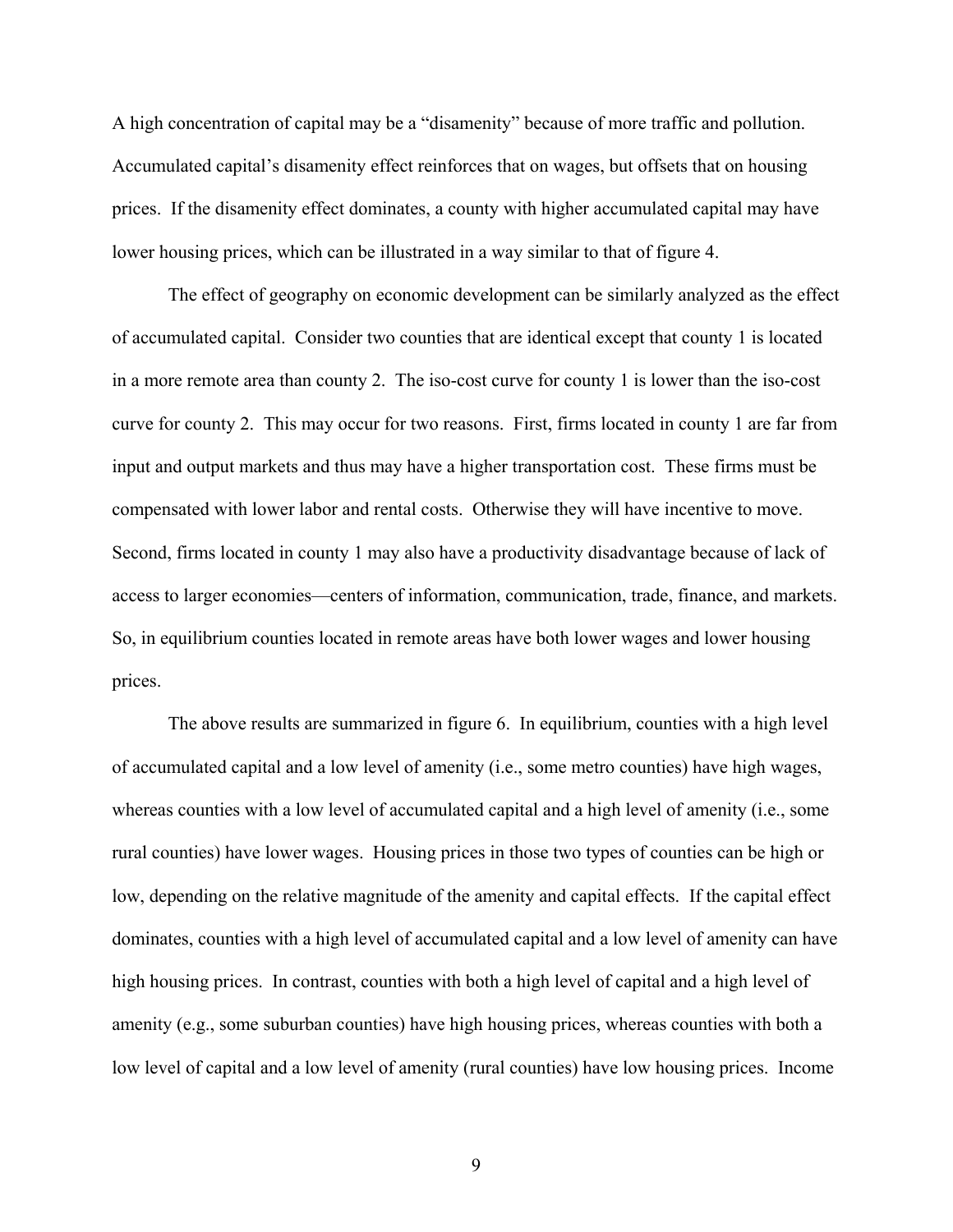A high concentration of capital may be a "disamenity" because of more traffic and pollution. Accumulated capital's disamenity effect reinforces that on wages, but offsets that on housing prices. If the disamenity effect dominates, a county with higher accumulated capital may have lower housing prices, which can be illustrated in a way similar to that of figure 4.

The effect of geography on economic development can be similarly analyzed as the effect of accumulated capital. Consider two counties that are identical except that county 1 is located in a more remote area than county 2. The iso-cost curve for county 1 is lower than the iso-cost curve for county 2. This may occur for two reasons. First, firms located in county 1 are far from input and output markets and thus may have a higher transportation cost. These firms must be compensated with lower labor and rental costs. Otherwise they will have incentive to move. Second, firms located in county 1 may also have a productivity disadvantage because of lack of access to larger economies—centers of information, communication, trade, finance, and markets. So, in equilibrium counties located in remote areas have both lower wages and lower housing prices.

The above results are summarized in figure 6. In equilibrium, counties with a high level of accumulated capital and a low level of amenity (i.e., some metro counties) have high wages, whereas counties with a low level of accumulated capital and a high level of amenity (i.e., some rural counties) have lower wages. Housing prices in those two types of counties can be high or low, depending on the relative magnitude of the amenity and capital effects. If the capital effect dominates, counties with a high level of accumulated capital and a low level of amenity can have high housing prices. In contrast, counties with both a high level of capital and a high level of amenity (e.g., some suburban counties) have high housing prices, whereas counties with both a low level of capital and a low level of amenity (rural counties) have low housing prices. Income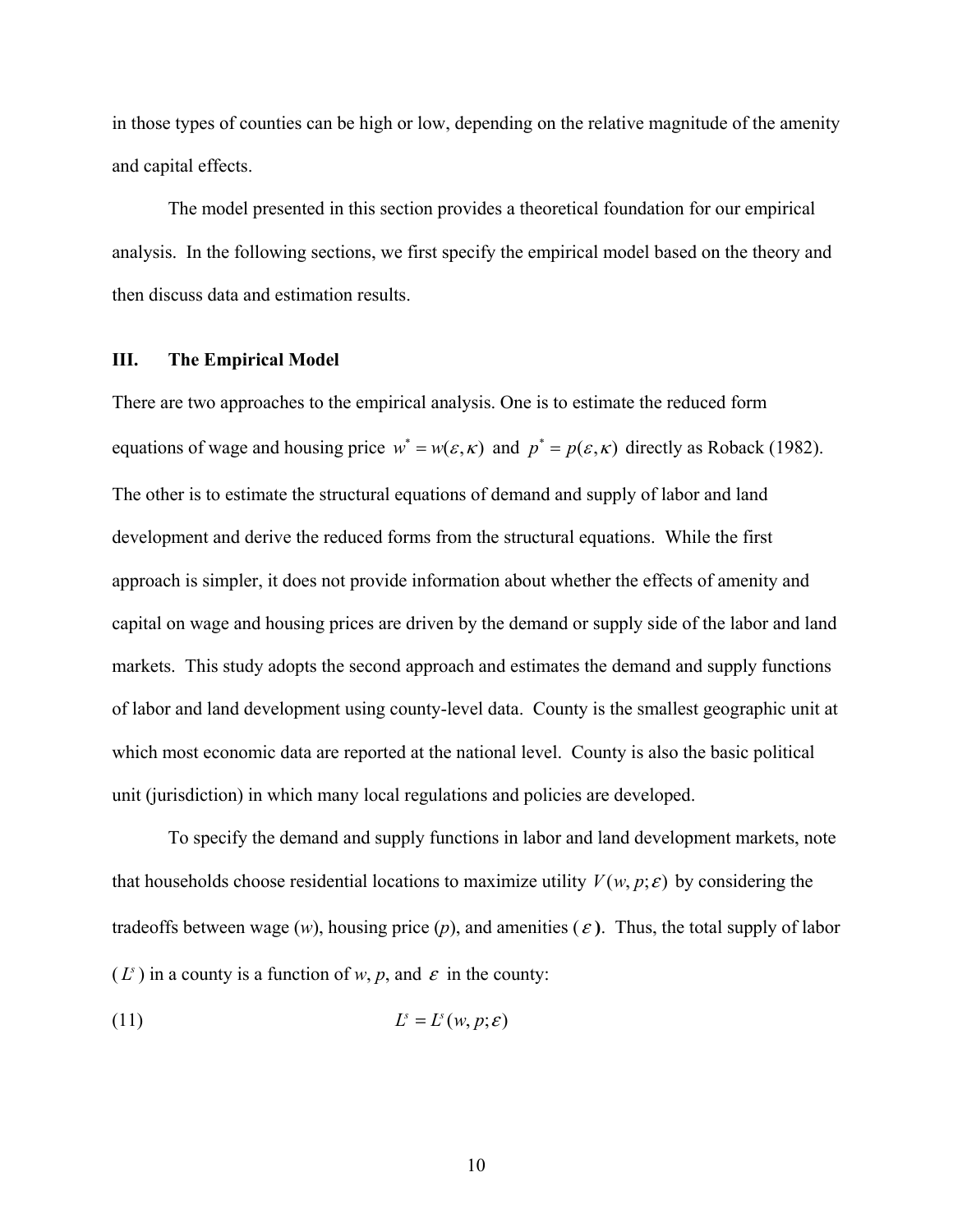in those types of counties can be high or low, depending on the relative magnitude of the amenity and capital effects.

The model presented in this section provides a theoretical foundation for our empirical analysis. In the following sections, we first specify the empirical model based on the theory and then discuss data and estimation results.

### **III. The Empirical Model**

There are two approaches to the empirical analysis. One is to estimate the reduced form equations of wage and housing price  $w^* = w(\varepsilon, \kappa)$  and  $p^* = p(\varepsilon, \kappa)$  directly as Roback (1982). The other is to estimate the structural equations of demand and supply of labor and land development and derive the reduced forms from the structural equations. While the first approach is simpler, it does not provide information about whether the effects of amenity and capital on wage and housing prices are driven by the demand or supply side of the labor and land markets. This study adopts the second approach and estimates the demand and supply functions of labor and land development using county-level data. County is the smallest geographic unit at which most economic data are reported at the national level. County is also the basic political unit (jurisdiction) in which many local regulations and policies are developed.

 To specify the demand and supply functions in labor and land development markets, note that households choose residential locations to maximize utility  $V(w, p; \varepsilon)$  by considering the tradeoffs between wage  $(w)$ , housing price  $(p)$ , and amenities  $(\varepsilon)$ . Thus, the total supply of labor  $(L^s)$  in a county is a function of *w*, *p*, and  $\varepsilon$  in the county:

(11) ( , ; ) *s s L L wp* = <sup>e</sup>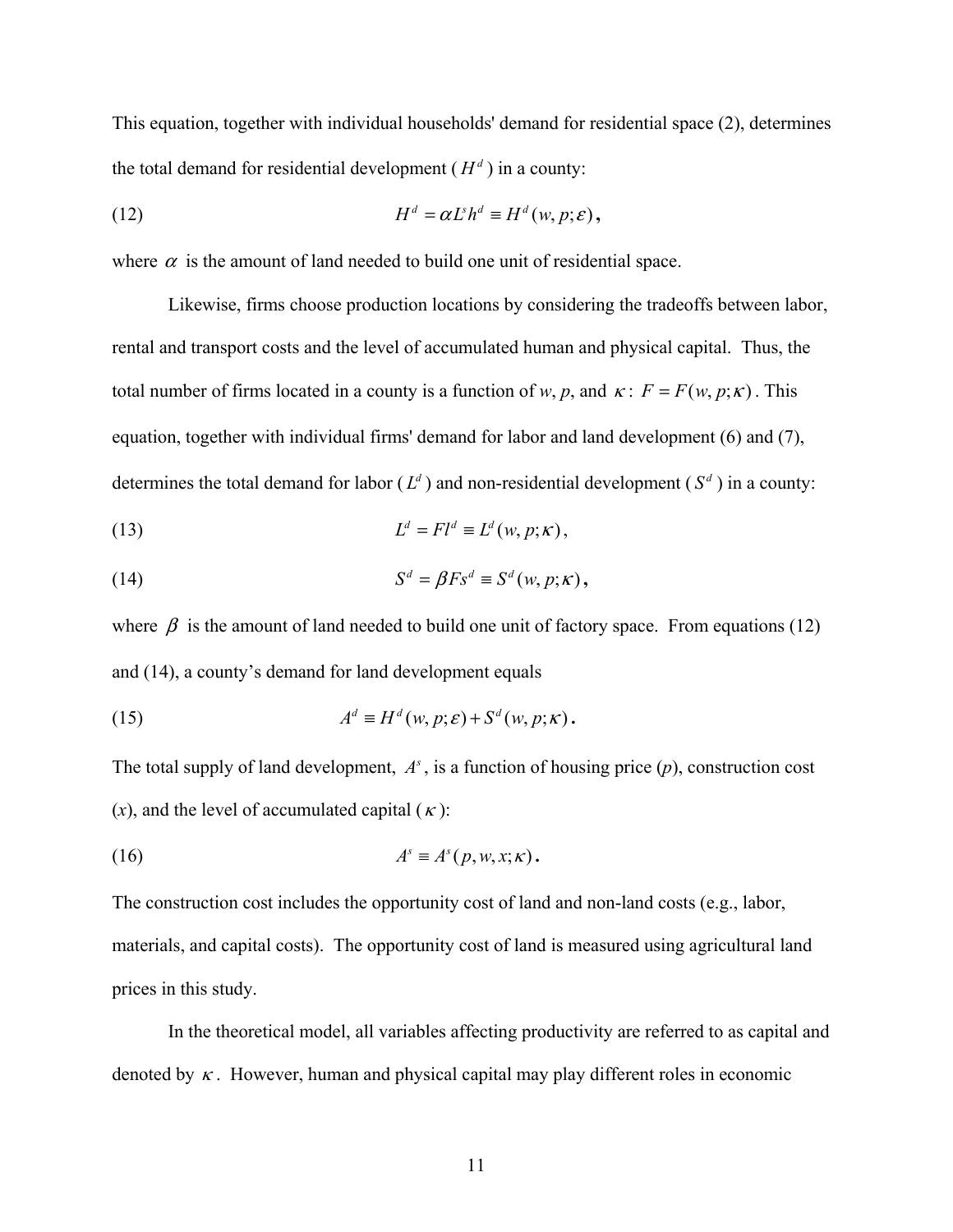This equation, together with individual households' demand for residential space (2), determines the total demand for residential development ( $H<sup>d</sup>$ ) in a county:

(12) 
$$
H^d = \alpha L^s h^d \equiv H^d(w, p; \varepsilon),
$$

where  $\alpha$  is the amount of land needed to build one unit of residential space.

 Likewise, firms choose production locations by considering the tradeoffs between labor, rental and transport costs and the level of accumulated human and physical capital. Thus, the total number of firms located in a county is a function of *w*, *p*, and  $\kappa$ :  $F = F(w, p; \kappa)$ . This equation, together with individual firms' demand for labor and land development (6) and (7), determines the total demand for labor ( $L<sup>d</sup>$ ) and non-residential development ( $S<sup>d</sup>$ ) in a county:

(13) 
$$
L^d = Fl^d \equiv L^d(w, p; \kappa),
$$

(14) 
$$
S^d = \beta F s^d \equiv S^d(w, p; \kappa),
$$

where  $\beta$  is the amount of land needed to build one unit of factory space. From equations (12) and (14), a county's demand for land development equals

(15) 
$$
A^d \equiv H^d(w, p; \varepsilon) + S^d(w, p; \kappa).
$$

The total supply of land development,  $A<sup>s</sup>$ , is a function of housing price  $(p)$ , construction cost (*x*), and the level of accumulated capital ( $\kappa$ ):

(16) 
$$
A^s \equiv A^s(p, w, x; \kappa).
$$

The construction cost includes the opportunity cost of land and non-land costs (e.g., labor, materials, and capital costs). The opportunity cost of land is measured using agricultural land prices in this study.

 In the theoretical model, all variables affecting productivity are referred to as capital and denoted by  $\kappa$ . However, human and physical capital may play different roles in economic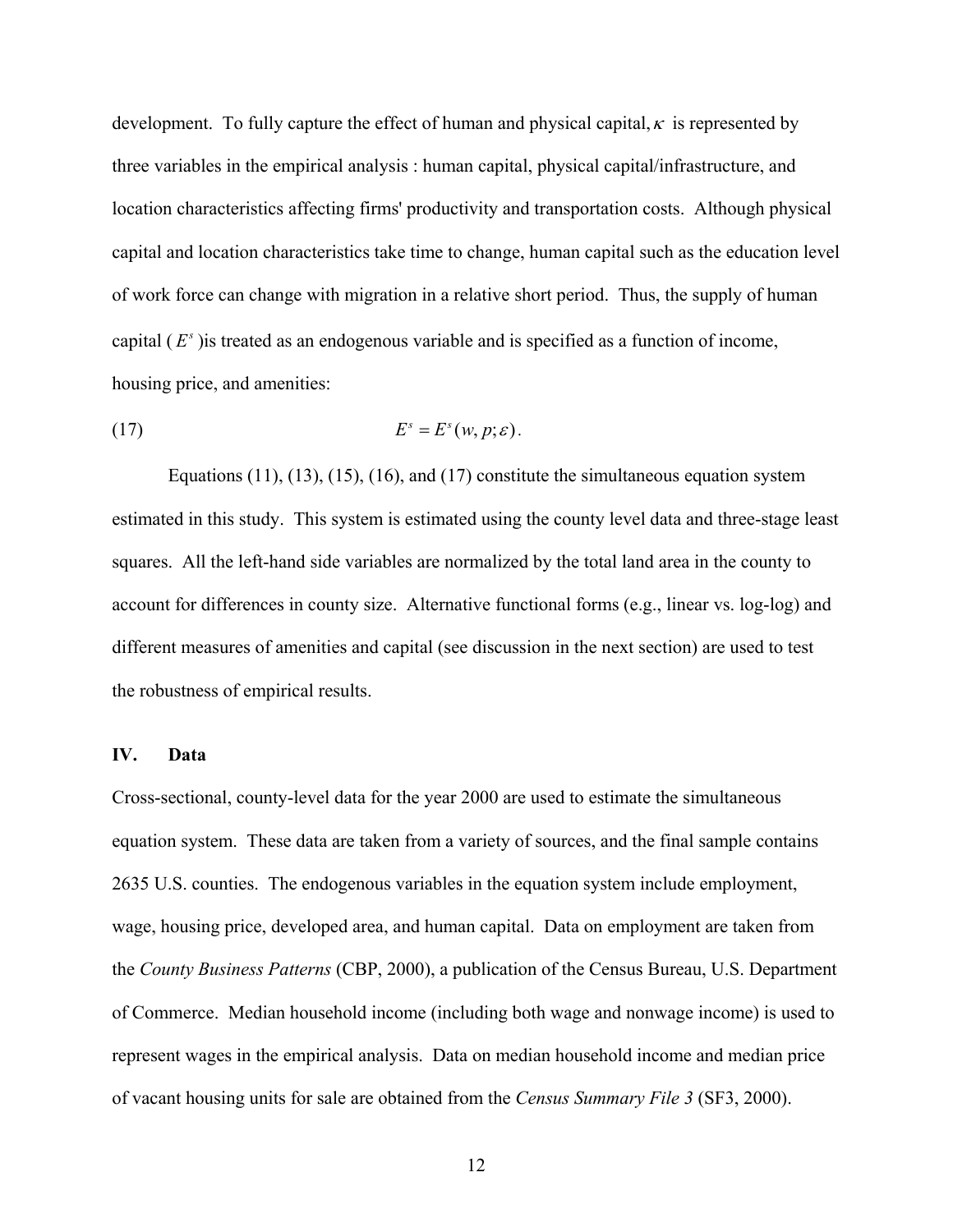development. To fully capture the effect of human and physical capital,  $\kappa$  is represented by three variables in the empirical analysis : human capital, physical capital/infrastructure, and location characteristics affecting firms' productivity and transportation costs. Although physical capital and location characteristics take time to change, human capital such as the education level of work force can change with migration in a relative short period. Thus, the supply of human capital  $(E^s)$  is treated as an endogenous variable and is specified as a function of income, housing price, and amenities:

$$
(17) \t\t\t Es = Es(w, p; \varepsilon).
$$

Equations  $(11)$ ,  $(13)$ ,  $(15)$ ,  $(16)$ , and  $(17)$  constitute the simultaneous equation system estimated in this study. This system is estimated using the county level data and three-stage least squares. All the left-hand side variables are normalized by the total land area in the county to account for differences in county size. Alternative functional forms (e.g., linear vs. log-log) and different measures of amenities and capital (see discussion in the next section) are used to test the robustness of empirical results.

#### **IV. Data**

Cross-sectional, county-level data for the year 2000 are used to estimate the simultaneous equation system. These data are taken from a variety of sources, and the final sample contains 2635 U.S. counties. The endogenous variables in the equation system include employment, wage, housing price, developed area, and human capital. Data on employment are taken from the *County Business Patterns* (CBP, 2000), a publication of the Census Bureau, U.S. Department of Commerce. Median household income (including both wage and nonwage income) is used to represent wages in the empirical analysis. Data on median household income and median price of vacant housing units for sale are obtained from the *Census Summary File 3* (SF3, 2000).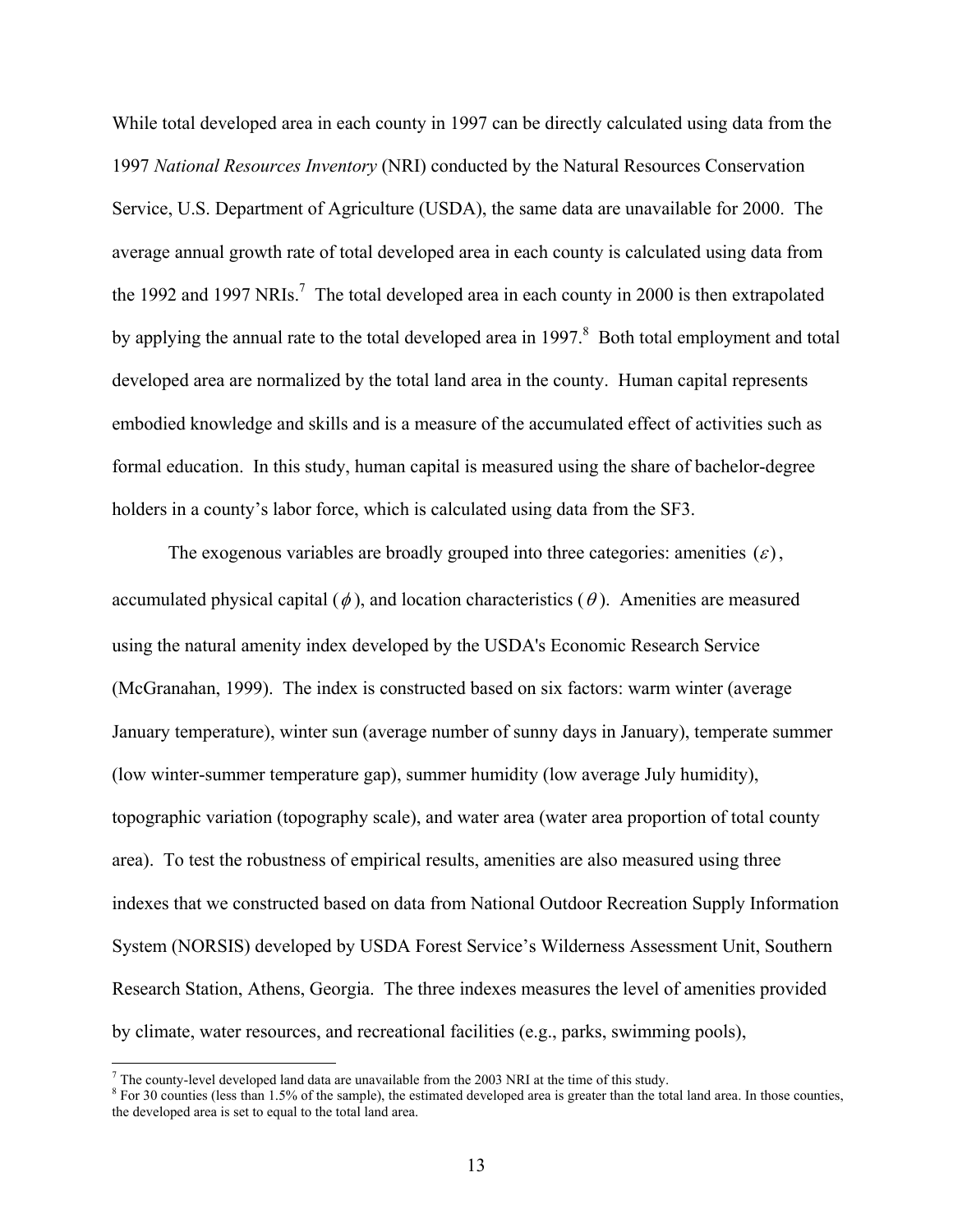While total developed area in each county in 1997 can be directly calculated using data from the 1997 *National Resources Inventory* (NRI) conducted by the Natural Resources Conservation Service, U.S. Department of Agriculture (USDA), the same data are unavailable for 2000. The average annual growth rate of total developed area in each county is calculated using data from the 1992 and 1997 NRIs.<sup>7</sup> The total developed area in each county in 2000 is then extrapolated by applying the annual rate to the total developed area in 1997.<sup>8</sup> Both total employment and total developed area are normalized by the total land area in the county. Human capital represents embodied knowledge and skills and is a measure of the accumulated effect of activities such as formal education. In this study, human capital is measured using the share of bachelor-degree holders in a county's labor force, which is calculated using data from the SF3.

The exogenous variables are broadly grouped into three categories: amenities  $(\varepsilon)$ , accumulated physical capital ( $\phi$ ), and location characteristics ( $\theta$ ). Amenities are measured using the natural amenity index developed by the USDA's Economic Research Service (McGranahan, 1999). The index is constructed based on six factors: warm winter (average January temperature), winter sun (average number of sunny days in January), temperate summer (low winter-summer temperature gap), summer humidity (low average July humidity), topographic variation (topography scale), and water area (water area proportion of total county area). To test the robustness of empirical results, amenities are also measured using three indexes that we constructed based on data from National Outdoor Recreation Supply Information System (NORSIS) developed by USDA Forest Service's Wilderness Assessment Unit, Southern Research Station, Athens, Georgia. The three indexes measures the level of amenities provided by climate, water resources, and recreational facilities (e.g., parks, swimming pools),

 $\overline{a}$ 

The county-level developed land data are unavailable from the 2003 NRI at the time of this study.<br><sup>8</sup> Fex 20 counties (less than 1.5%) of the sample), the estimated days length are is greater than the total

<sup>&</sup>lt;sup>8</sup> For 30 counties (less than 1.5% of the sample), the estimated developed area is greater than the total land area. In those counties, the developed area is set to equal to the total land area.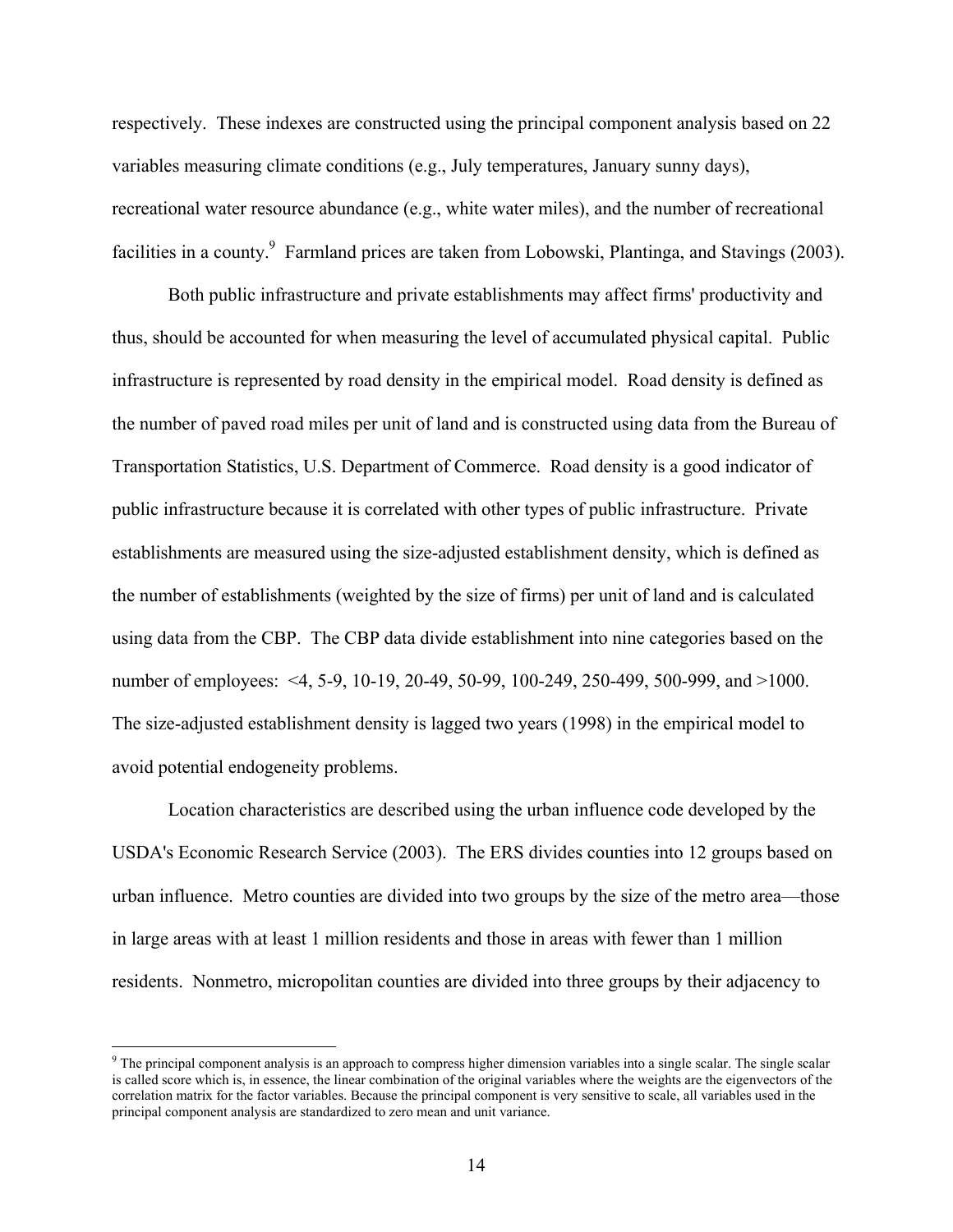respectively. These indexes are constructed using the principal component analysis based on 22 variables measuring climate conditions (e.g., July temperatures, January sunny days), recreational water resource abundance (e.g., white water miles), and the number of recreational facilities in a county.<sup>9</sup> Farmland prices are taken from Lobowski, Plantinga, and Stavings (2003).

Both public infrastructure and private establishments may affect firms' productivity and thus, should be accounted for when measuring the level of accumulated physical capital. Public infrastructure is represented by road density in the empirical model. Road density is defined as the number of paved road miles per unit of land and is constructed using data from the Bureau of Transportation Statistics, U.S. Department of Commerce. Road density is a good indicator of public infrastructure because it is correlated with other types of public infrastructure. Private establishments are measured using the size-adjusted establishment density, which is defined as the number of establishments (weighted by the size of firms) per unit of land and is calculated using data from the CBP. The CBP data divide establishment into nine categories based on the number of employees: <4, 5-9, 10-19, 20-49, 50-99, 100-249, 250-499, 500-999, and >1000. The size-adjusted establishment density is lagged two years (1998) in the empirical model to avoid potential endogeneity problems.

Location characteristics are described using the urban influence code developed by the USDA's Economic Research Service (2003). The ERS divides counties into 12 groups based on urban influence. Metro counties are divided into two groups by the size of the metro area—those in large areas with at least 1 million residents and those in areas with fewer than 1 million residents. Nonmetro, micropolitan counties are divided into three groups by their adjacency to

 $\overline{a}$ 

 $9$  The principal component analysis is an approach to compress higher dimension variables into a single scalar. The single scalar is called score which is, in essence, the linear combination of the original variables where the weights are the eigenvectors of the correlation matrix for the factor variables. Because the principal component is very sensitive to scale, all variables used in the principal component analysis are standardized to zero mean and unit variance.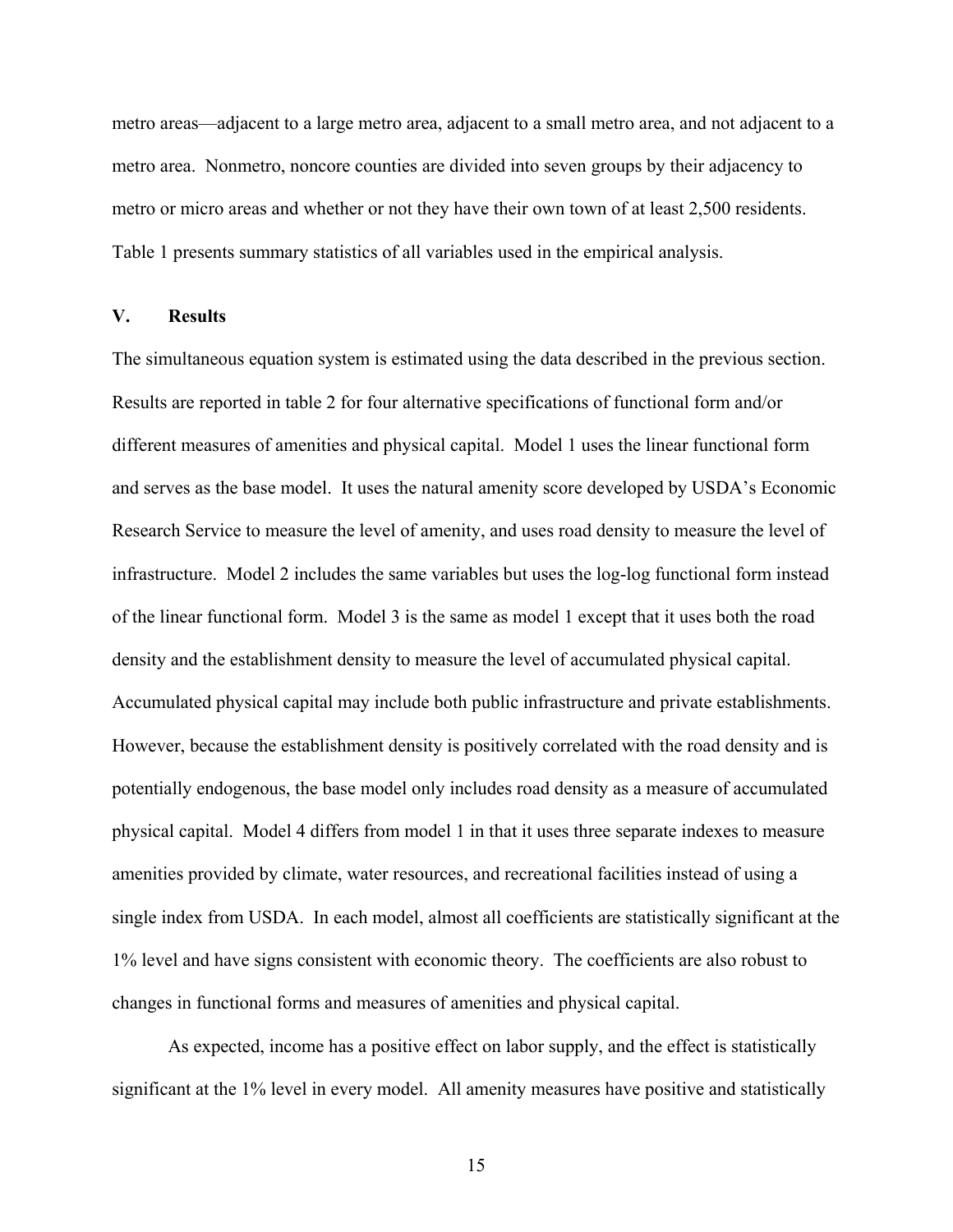metro areas—adjacent to a large metro area, adjacent to a small metro area, and not adjacent to a metro area. Nonmetro, noncore counties are divided into seven groups by their adjacency to metro or micro areas and whether or not they have their own town of at least 2,500 residents. Table 1 presents summary statistics of all variables used in the empirical analysis.

#### **V. Results**

The simultaneous equation system is estimated using the data described in the previous section. Results are reported in table 2 for four alternative specifications of functional form and/or different measures of amenities and physical capital. Model 1 uses the linear functional form and serves as the base model. It uses the natural amenity score developed by USDA's Economic Research Service to measure the level of amenity, and uses road density to measure the level of infrastructure. Model 2 includes the same variables but uses the log-log functional form instead of the linear functional form. Model 3 is the same as model 1 except that it uses both the road density and the establishment density to measure the level of accumulated physical capital. Accumulated physical capital may include both public infrastructure and private establishments. However, because the establishment density is positively correlated with the road density and is potentially endogenous, the base model only includes road density as a measure of accumulated physical capital. Model 4 differs from model 1 in that it uses three separate indexes to measure amenities provided by climate, water resources, and recreational facilities instead of using a single index from USDA. In each model, almost all coefficients are statistically significant at the 1% level and have signs consistent with economic theory. The coefficients are also robust to changes in functional forms and measures of amenities and physical capital.

As expected, income has a positive effect on labor supply, and the effect is statistically significant at the 1% level in every model. All amenity measures have positive and statistically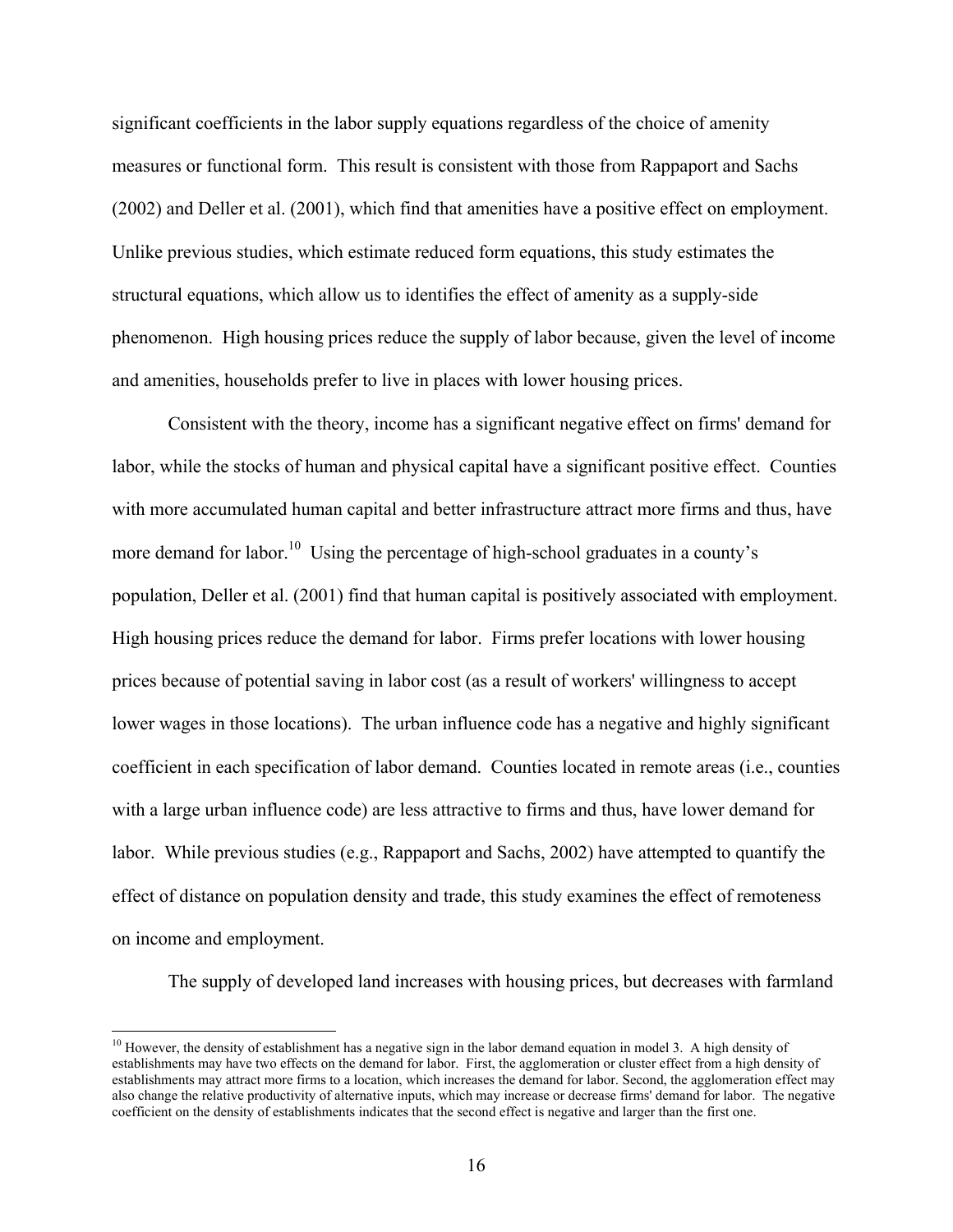significant coefficients in the labor supply equations regardless of the choice of amenity measures or functional form. This result is consistent with those from Rappaport and Sachs (2002) and Deller et al. (2001), which find that amenities have a positive effect on employment. Unlike previous studies, which estimate reduced form equations, this study estimates the structural equations, which allow us to identifies the effect of amenity as a supply-side phenomenon. High housing prices reduce the supply of labor because, given the level of income and amenities, households prefer to live in places with lower housing prices.

 Consistent with the theory, income has a significant negative effect on firms' demand for labor, while the stocks of human and physical capital have a significant positive effect. Counties with more accumulated human capital and better infrastructure attract more firms and thus, have more demand for labor.<sup>10</sup> Using the percentage of high-school graduates in a county's population, Deller et al. (2001) find that human capital is positively associated with employment. High housing prices reduce the demand for labor. Firms prefer locations with lower housing prices because of potential saving in labor cost (as a result of workers' willingness to accept lower wages in those locations). The urban influence code has a negative and highly significant coefficient in each specification of labor demand. Counties located in remote areas (i.e., counties with a large urban influence code) are less attractive to firms and thus, have lower demand for labor. While previous studies (e.g., Rappaport and Sachs, 2002) have attempted to quantify the effect of distance on population density and trade, this study examines the effect of remoteness on income and employment.

The supply of developed land increases with housing prices, but decreases with farmland

 $10$  However, the density of establishment has a negative sign in the labor demand equation in model 3. A high density of establishments may have two effects on the demand for labor. First, the agglomeration or cluster effect from a high density of establishments may attract more firms to a location, which increases the demand for labor. Second, the agglomeration effect may also change the relative productivity of alternative inputs, which may increase or decrease firms' demand for labor. The negative coefficient on the density of establishments indicates that the second effect is negative and larger than the first one.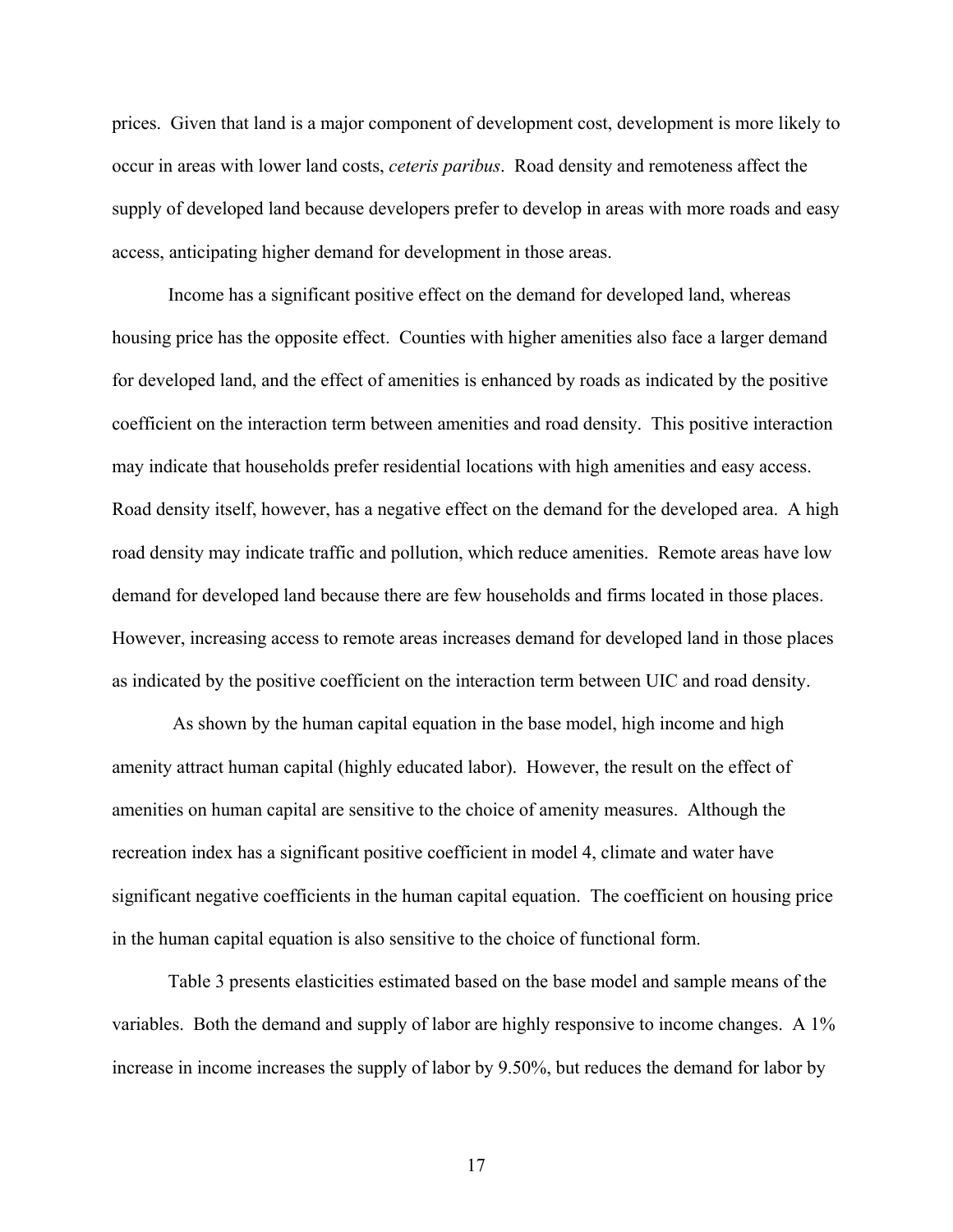prices. Given that land is a major component of development cost, development is more likely to occur in areas with lower land costs, *ceteris paribus*. Road density and remoteness affect the supply of developed land because developers prefer to develop in areas with more roads and easy access, anticipating higher demand for development in those areas.

Income has a significant positive effect on the demand for developed land, whereas housing price has the opposite effect. Counties with higher amenities also face a larger demand for developed land, and the effect of amenities is enhanced by roads as indicated by the positive coefficient on the interaction term between amenities and road density. This positive interaction may indicate that households prefer residential locations with high amenities and easy access. Road density itself, however, has a negative effect on the demand for the developed area. A high road density may indicate traffic and pollution, which reduce amenities. Remote areas have low demand for developed land because there are few households and firms located in those places. However, increasing access to remote areas increases demand for developed land in those places as indicated by the positive coefficient on the interaction term between UIC and road density.

 As shown by the human capital equation in the base model, high income and high amenity attract human capital (highly educated labor). However, the result on the effect of amenities on human capital are sensitive to the choice of amenity measures. Although the recreation index has a significant positive coefficient in model 4, climate and water have significant negative coefficients in the human capital equation. The coefficient on housing price in the human capital equation is also sensitive to the choice of functional form.

Table 3 presents elasticities estimated based on the base model and sample means of the variables. Both the demand and supply of labor are highly responsive to income changes. A 1% increase in income increases the supply of labor by 9.50%, but reduces the demand for labor by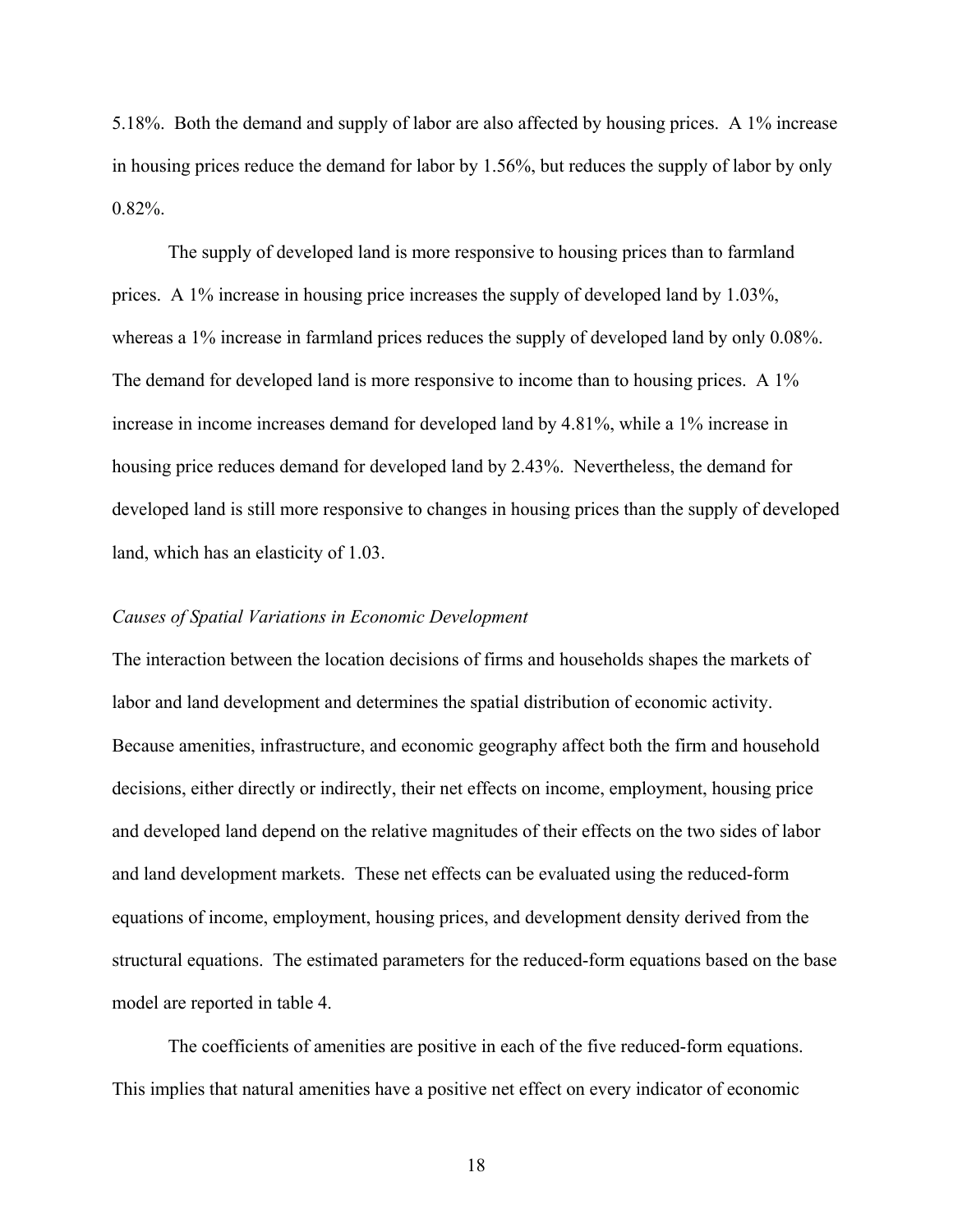5.18%. Both the demand and supply of labor are also affected by housing prices. A 1% increase in housing prices reduce the demand for labor by 1.56%, but reduces the supply of labor by only 0.82%.

The supply of developed land is more responsive to housing prices than to farmland prices. A 1% increase in housing price increases the supply of developed land by 1.03%, whereas a 1% increase in farmland prices reduces the supply of developed land by only 0.08%. The demand for developed land is more responsive to income than to housing prices. A 1% increase in income increases demand for developed land by 4.81%, while a 1% increase in housing price reduces demand for developed land by 2.43%. Nevertheless, the demand for developed land is still more responsive to changes in housing prices than the supply of developed land, which has an elasticity of 1.03.

#### *Causes of Spatial Variations in Economic Development*

The interaction between the location decisions of firms and households shapes the markets of labor and land development and determines the spatial distribution of economic activity. Because amenities, infrastructure, and economic geography affect both the firm and household decisions, either directly or indirectly, their net effects on income, employment, housing price and developed land depend on the relative magnitudes of their effects on the two sides of labor and land development markets. These net effects can be evaluated using the reduced-form equations of income, employment, housing prices, and development density derived from the structural equations. The estimated parameters for the reduced-form equations based on the base model are reported in table 4.

 The coefficients of amenities are positive in each of the five reduced-form equations. This implies that natural amenities have a positive net effect on every indicator of economic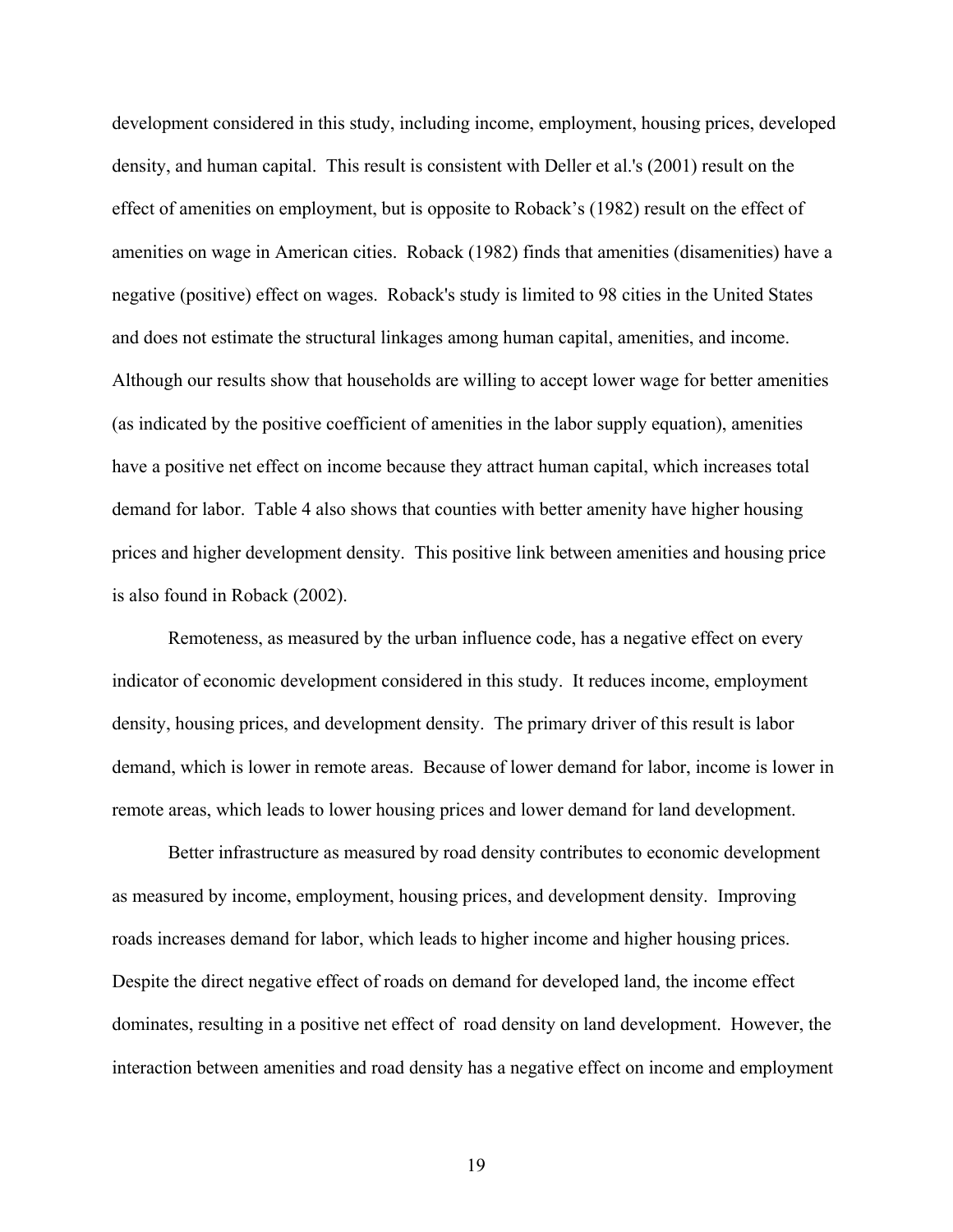development considered in this study, including income, employment, housing prices, developed density, and human capital. This result is consistent with Deller et al.'s (2001) result on the effect of amenities on employment, but is opposite to Roback's (1982) result on the effect of amenities on wage in American cities. Roback (1982) finds that amenities (disamenities) have a negative (positive) effect on wages. Roback's study is limited to 98 cities in the United States and does not estimate the structural linkages among human capital, amenities, and income. Although our results show that households are willing to accept lower wage for better amenities (as indicated by the positive coefficient of amenities in the labor supply equation), amenities have a positive net effect on income because they attract human capital, which increases total demand for labor. Table 4 also shows that counties with better amenity have higher housing prices and higher development density. This positive link between amenities and housing price is also found in Roback (2002).

 Remoteness, as measured by the urban influence code, has a negative effect on every indicator of economic development considered in this study. It reduces income, employment density, housing prices, and development density. The primary driver of this result is labor demand, which is lower in remote areas. Because of lower demand for labor, income is lower in remote areas, which leads to lower housing prices and lower demand for land development.

 Better infrastructure as measured by road density contributes to economic development as measured by income, employment, housing prices, and development density. Improving roads increases demand for labor, which leads to higher income and higher housing prices. Despite the direct negative effect of roads on demand for developed land, the income effect dominates, resulting in a positive net effect of road density on land development. However, the interaction between amenities and road density has a negative effect on income and employment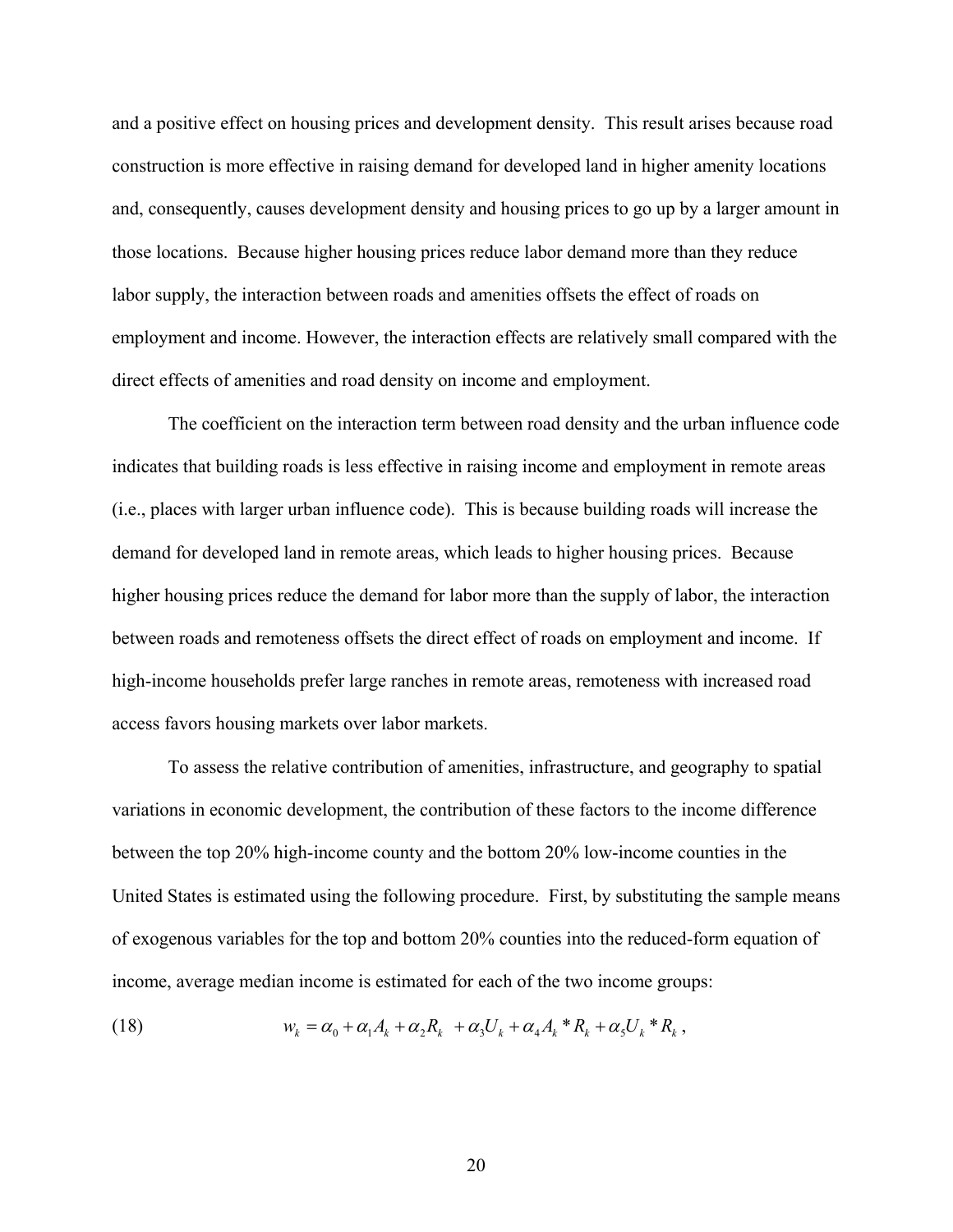and a positive effect on housing prices and development density. This result arises because road construction is more effective in raising demand for developed land in higher amenity locations and, consequently, causes development density and housing prices to go up by a larger amount in those locations. Because higher housing prices reduce labor demand more than they reduce labor supply, the interaction between roads and amenities offsets the effect of roads on employment and income. However, the interaction effects are relatively small compared with the direct effects of amenities and road density on income and employment.

 The coefficient on the interaction term between road density and the urban influence code indicates that building roads is less effective in raising income and employment in remote areas (i.e., places with larger urban influence code). This is because building roads will increase the demand for developed land in remote areas, which leads to higher housing prices. Because higher housing prices reduce the demand for labor more than the supply of labor, the interaction between roads and remoteness offsets the direct effect of roads on employment and income. If high-income households prefer large ranches in remote areas, remoteness with increased road access favors housing markets over labor markets.

 To assess the relative contribution of amenities, infrastructure, and geography to spatial variations in economic development, the contribution of these factors to the income difference between the top 20% high-income county and the bottom 20% low-income counties in the United States is estimated using the following procedure. First, by substituting the sample means of exogenous variables for the top and bottom 20% counties into the reduced-form equation of income, average median income is estimated for each of the two income groups:

(18) 
$$
w_k = \alpha_0 + \alpha_1 A_k + \alpha_2 R_k + \alpha_3 U_k + \alpha_4 A_k * R_k + \alpha_5 U_k * R_k,
$$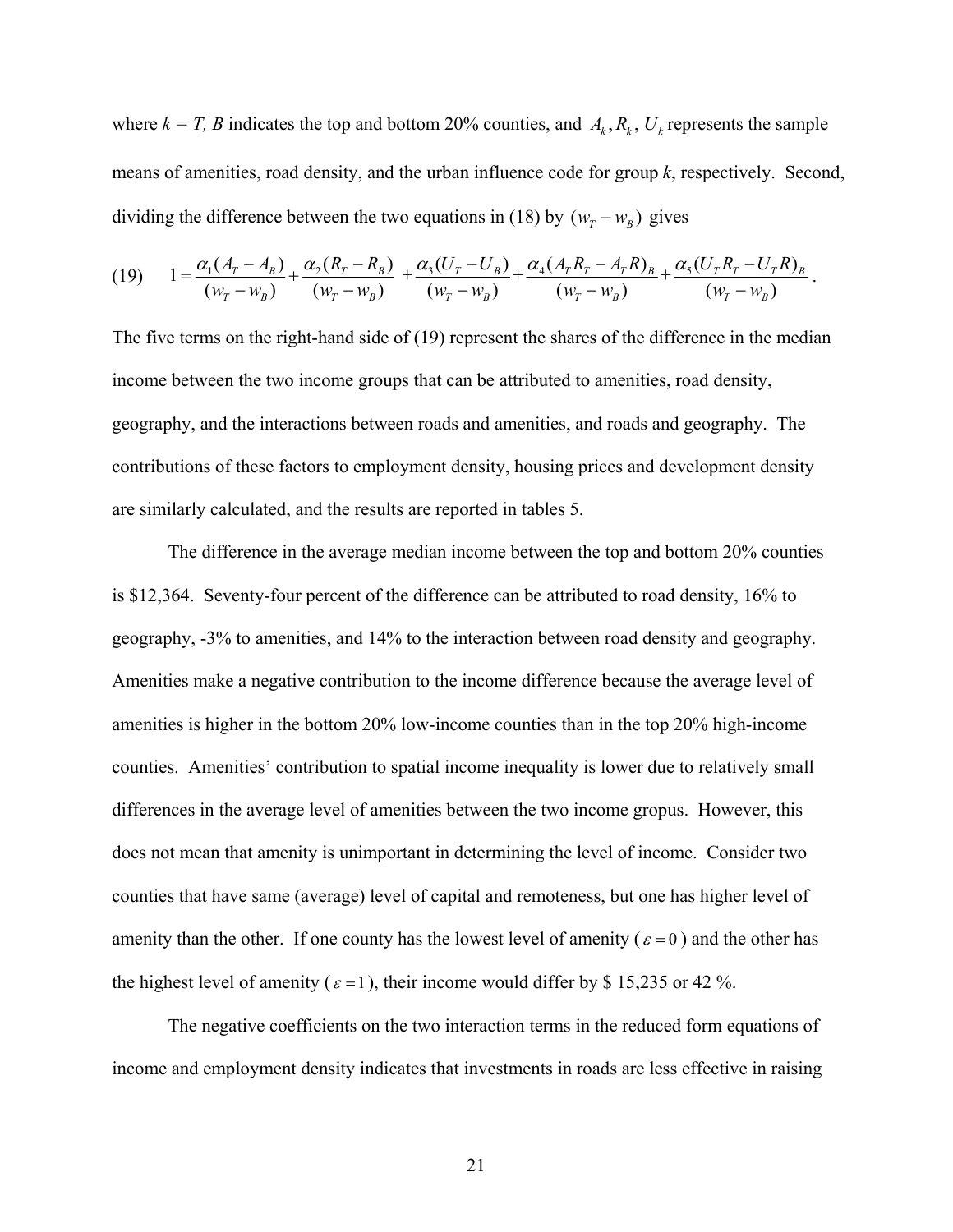where  $k = T$ , B indicates the top and bottom 20% counties, and  $A_k$ ,  $R_k$ ,  $U_k$  represents the sample means of amenities, road density, and the urban influence code for group *k*, respectively. Second, dividing the difference between the two equations in (18) by  $(w_T - w_B)$  gives

$$
(19) \qquad 1 = \frac{\alpha_1(A_T - A_B)}{(w_T - w_B)} + \frac{\alpha_2(R_T - R_B)}{(w_T - w_B)} + \frac{\alpha_3(U_T - U_B)}{(w_T - w_B)} + \frac{\alpha_4(A_T R_T - A_T R)_B}{(w_T - w_B)} + \frac{\alpha_5(U_T R_T - U_T R)_B}{(w_T - w_B)}.
$$

The five terms on the right-hand side of (19) represent the shares of the difference in the median income between the two income groups that can be attributed to amenities, road density, geography, and the interactions between roads and amenities, and roads and geography. The contributions of these factors to employment density, housing prices and development density are similarly calculated, and the results are reported in tables 5.

 The difference in the average median income between the top and bottom 20% counties is \$12,364. Seventy-four percent of the difference can be attributed to road density, 16% to geography, -3% to amenities, and 14% to the interaction between road density and geography. Amenities make a negative contribution to the income difference because the average level of amenities is higher in the bottom 20% low-income counties than in the top 20% high-income counties. Amenities' contribution to spatial income inequality is lower due to relatively small differences in the average level of amenities between the two income gropus. However, this does not mean that amenity is unimportant in determining the level of income. Consider two counties that have same (average) level of capital and remoteness, but one has higher level of amenity than the other. If one county has the lowest level of amenity ( $\varepsilon = 0$ ) and the other has the highest level of amenity ( $\varepsilon = 1$ ), their income would differ by \$ 15,235 or 42 %.

 The negative coefficients on the two interaction terms in the reduced form equations of income and employment density indicates that investments in roads are less effective in raising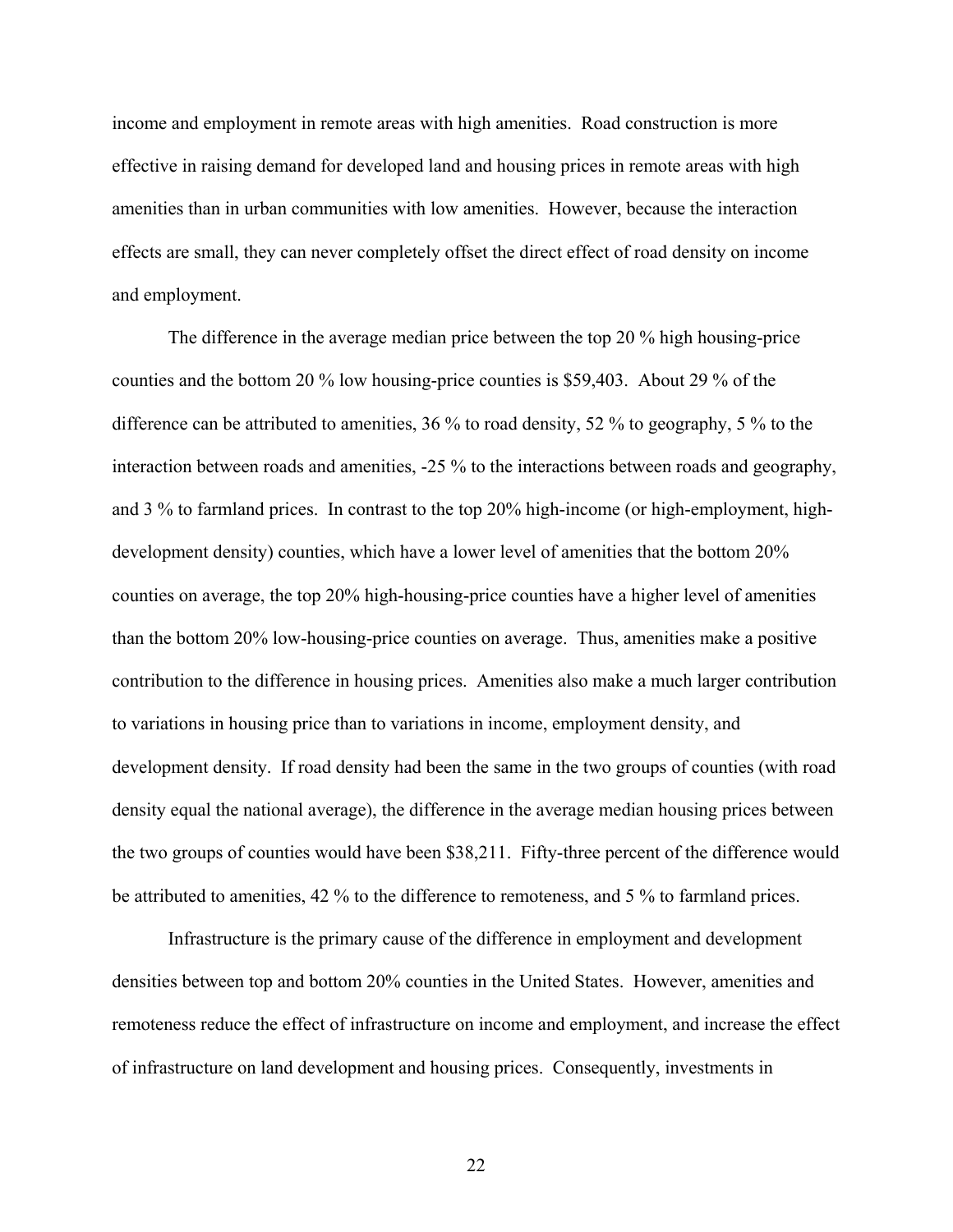income and employment in remote areas with high amenities. Road construction is more effective in raising demand for developed land and housing prices in remote areas with high amenities than in urban communities with low amenities. However, because the interaction effects are small, they can never completely offset the direct effect of road density on income and employment.

The difference in the average median price between the top 20 % high housing-price counties and the bottom 20 % low housing-price counties is \$59,403. About 29 % of the difference can be attributed to amenities, 36 % to road density, 52 % to geography, 5 % to the interaction between roads and amenities, -25 % to the interactions between roads and geography, and 3 % to farmland prices. In contrast to the top 20% high-income (or high-employment, highdevelopment density) counties, which have a lower level of amenities that the bottom 20% counties on average, the top 20% high-housing-price counties have a higher level of amenities than the bottom 20% low-housing-price counties on average. Thus, amenities make a positive contribution to the difference in housing prices. Amenities also make a much larger contribution to variations in housing price than to variations in income, employment density, and development density. If road density had been the same in the two groups of counties (with road density equal the national average), the difference in the average median housing prices between the two groups of counties would have been \$38,211. Fifty-three percent of the difference would be attributed to amenities, 42 % to the difference to remoteness, and 5 % to farmland prices.

 Infrastructure is the primary cause of the difference in employment and development densities between top and bottom 20% counties in the United States. However, amenities and remoteness reduce the effect of infrastructure on income and employment, and increase the effect of infrastructure on land development and housing prices. Consequently, investments in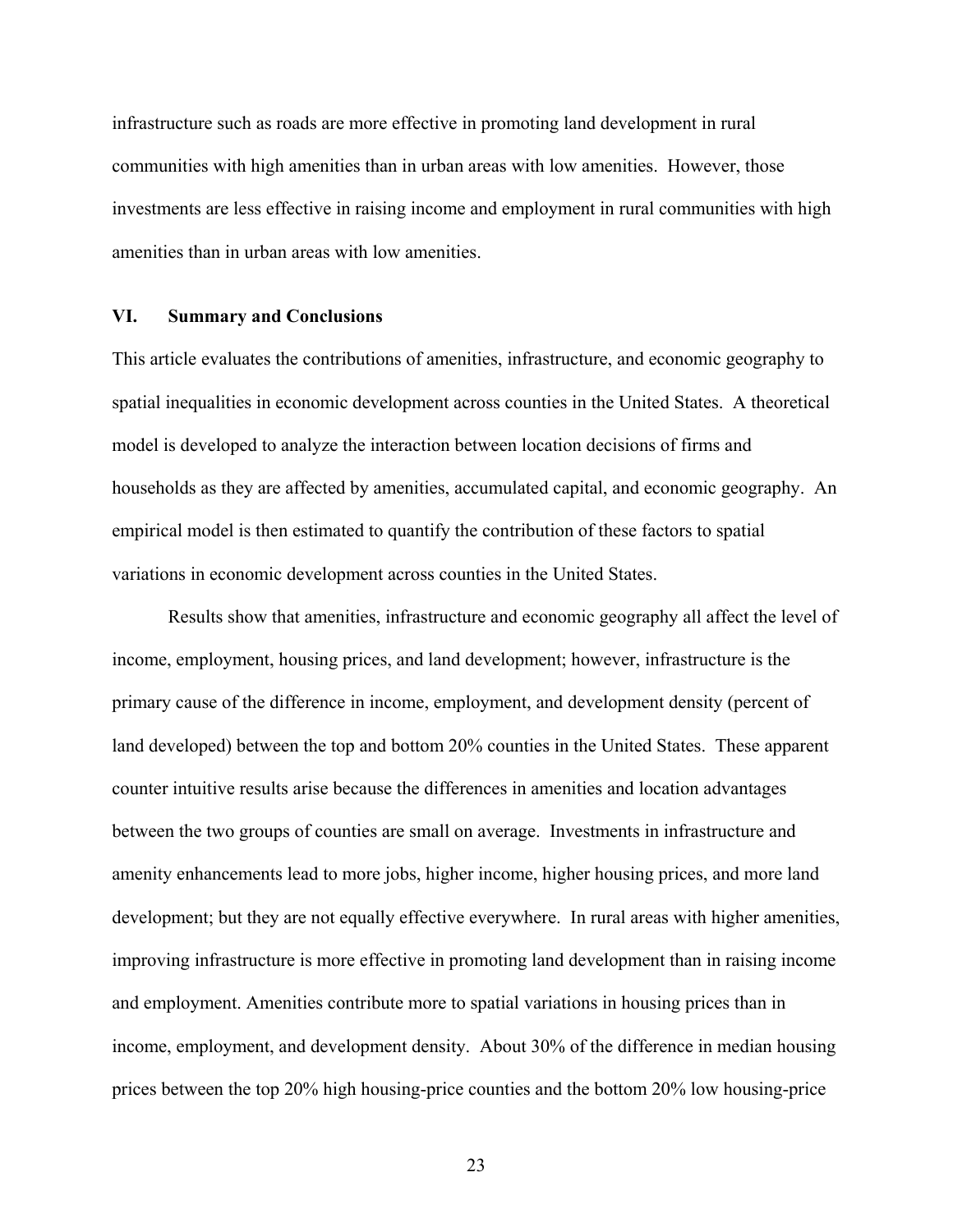infrastructure such as roads are more effective in promoting land development in rural communities with high amenities than in urban areas with low amenities. However, those investments are less effective in raising income and employment in rural communities with high amenities than in urban areas with low amenities.

#### **VI. Summary and Conclusions**

This article evaluates the contributions of amenities, infrastructure, and economic geography to spatial inequalities in economic development across counties in the United States. A theoretical model is developed to analyze the interaction between location decisions of firms and households as they are affected by amenities, accumulated capital, and economic geography. An empirical model is then estimated to quantify the contribution of these factors to spatial variations in economic development across counties in the United States.

 Results show that amenities, infrastructure and economic geography all affect the level of income, employment, housing prices, and land development; however, infrastructure is the primary cause of the difference in income, employment, and development density (percent of land developed) between the top and bottom 20% counties in the United States. These apparent counter intuitive results arise because the differences in amenities and location advantages between the two groups of counties are small on average. Investments in infrastructure and amenity enhancements lead to more jobs, higher income, higher housing prices, and more land development; but they are not equally effective everywhere. In rural areas with higher amenities, improving infrastructure is more effective in promoting land development than in raising income and employment. Amenities contribute more to spatial variations in housing prices than in income, employment, and development density. About 30% of the difference in median housing prices between the top 20% high housing-price counties and the bottom 20% low housing-price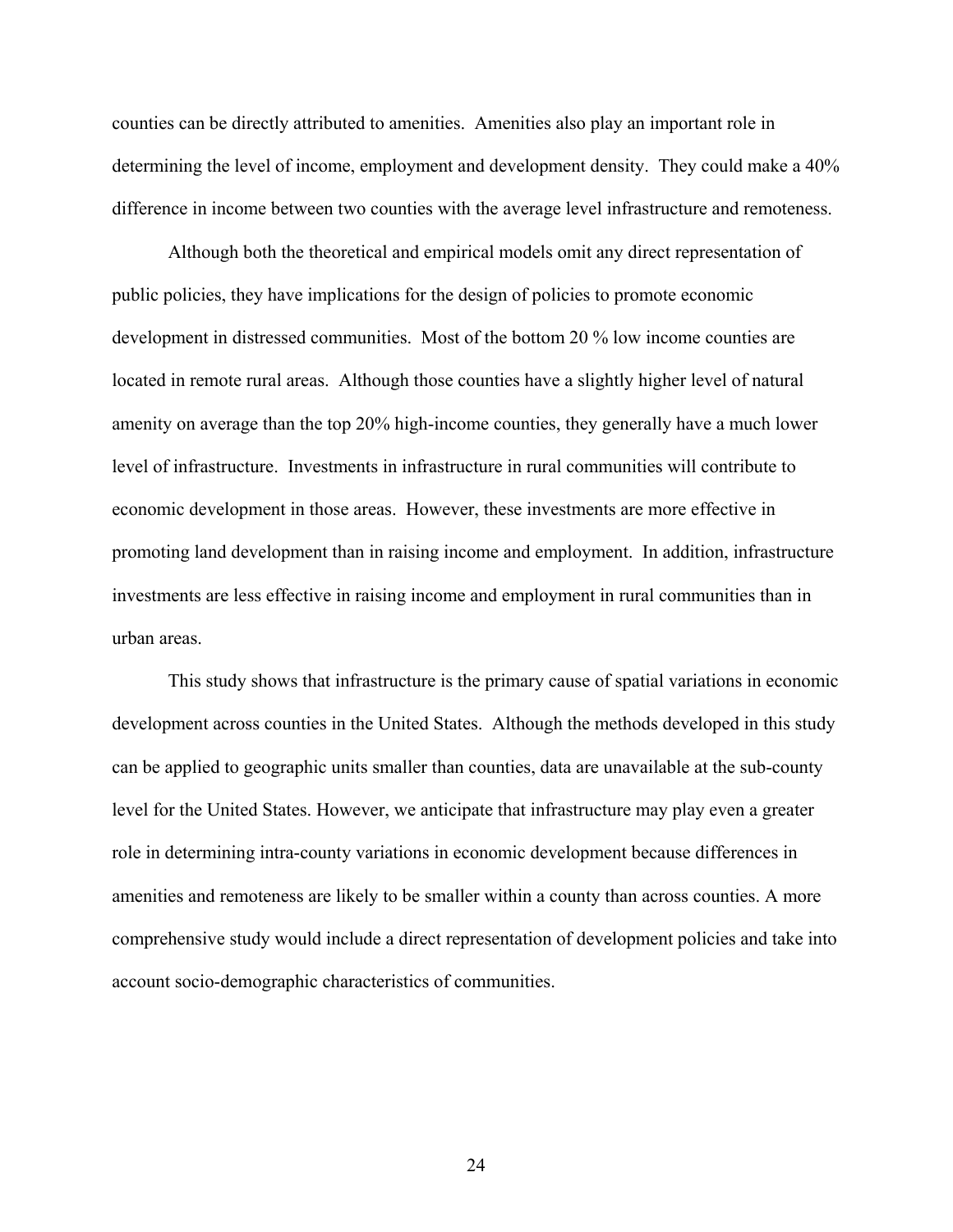counties can be directly attributed to amenities. Amenities also play an important role in determining the level of income, employment and development density. They could make a 40% difference in income between two counties with the average level infrastructure and remoteness.

 Although both the theoretical and empirical models omit any direct representation of public policies, they have implications for the design of policies to promote economic development in distressed communities. Most of the bottom 20 % low income counties are located in remote rural areas. Although those counties have a slightly higher level of natural amenity on average than the top 20% high-income counties, they generally have a much lower level of infrastructure. Investments in infrastructure in rural communities will contribute to economic development in those areas. However, these investments are more effective in promoting land development than in raising income and employment. In addition, infrastructure investments are less effective in raising income and employment in rural communities than in urban areas.

 This study shows that infrastructure is the primary cause of spatial variations in economic development across counties in the United States. Although the methods developed in this study can be applied to geographic units smaller than counties, data are unavailable at the sub-county level for the United States. However, we anticipate that infrastructure may play even a greater role in determining intra-county variations in economic development because differences in amenities and remoteness are likely to be smaller within a county than across counties. A more comprehensive study would include a direct representation of development policies and take into account socio-demographic characteristics of communities.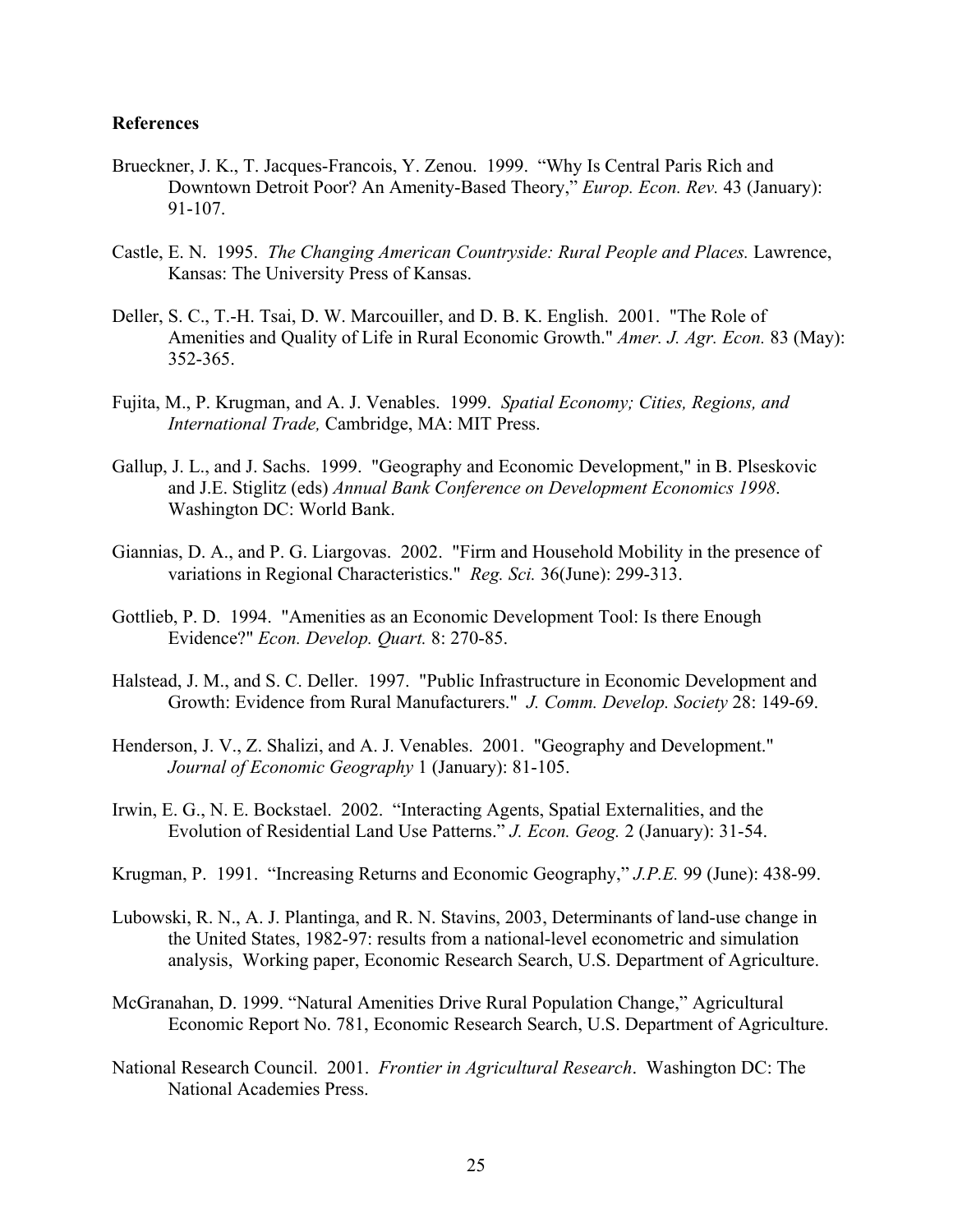#### **References**

- Brueckner, J. K., T. Jacques-Francois, Y. Zenou. 1999. "Why Is Central Paris Rich and Downtown Detroit Poor? An Amenity-Based Theory," *Europ. Econ. Rev.* 43 (January): 91-107.
- Castle, E. N. 1995. *The Changing American Countryside: Rural People and Places.* Lawrence, Kansas: The University Press of Kansas.
- Deller, S. C., T.-H. Tsai, D. W. Marcouiller, and D. B. K. English. 2001. "The Role of Amenities and Quality of Life in Rural Economic Growth." *Amer. J. Agr. Econ.* 83 (May): 352-365.
- Fujita, M., P. Krugman, and A. J. Venables. 1999. *Spatial Economy; Cities, Regions, and International Trade,* Cambridge, MA: MIT Press.
- Gallup, J. L., and J. Sachs. 1999. "Geography and Economic Development," in B. Plseskovic and J.E. Stiglitz (eds) *Annual Bank Conference on Development Economics 1998*. Washington DC: World Bank.
- Giannias, D. A., and P. G. Liargovas. 2002. "Firm and Household Mobility in the presence of variations in Regional Characteristics." *Reg. Sci.* 36(June): 299-313.
- Gottlieb, P. D. 1994. "Amenities as an Economic Development Tool: Is there Enough Evidence?" *Econ. Develop. Quart.* 8: 270-85.
- Halstead, J. M., and S. C. Deller. 1997. "Public Infrastructure in Economic Development and Growth: Evidence from Rural Manufacturers." *J. Comm. Develop. Society* 28: 149-69.
- Henderson, J. V., Z. Shalizi, and A. J. Venables. 2001. "Geography and Development." *Journal of Economic Geography* 1 (January): 81-105.
- Irwin, E. G., N. E. Bockstael. 2002. "Interacting Agents, Spatial Externalities, and the Evolution of Residential Land Use Patterns." *J. Econ. Geog.* 2 (January): 31-54.
- Krugman, P. 1991. "Increasing Returns and Economic Geography," *J.P.E.* 99 (June): 438-99.
- Lubowski, R. N., A. J. Plantinga, and R. N. Stavins, 2003, Determinants of land-use change in the United States, 1982-97: results from a national-level econometric and simulation analysis, Working paper, Economic Research Search, U.S. Department of Agriculture.
- McGranahan, D. 1999. "Natural Amenities Drive Rural Population Change," Agricultural Economic Report No. 781, Economic Research Search, U.S. Department of Agriculture.
- National Research Council. 2001. *Frontier in Agricultural Research*. Washington DC: The National Academies Press.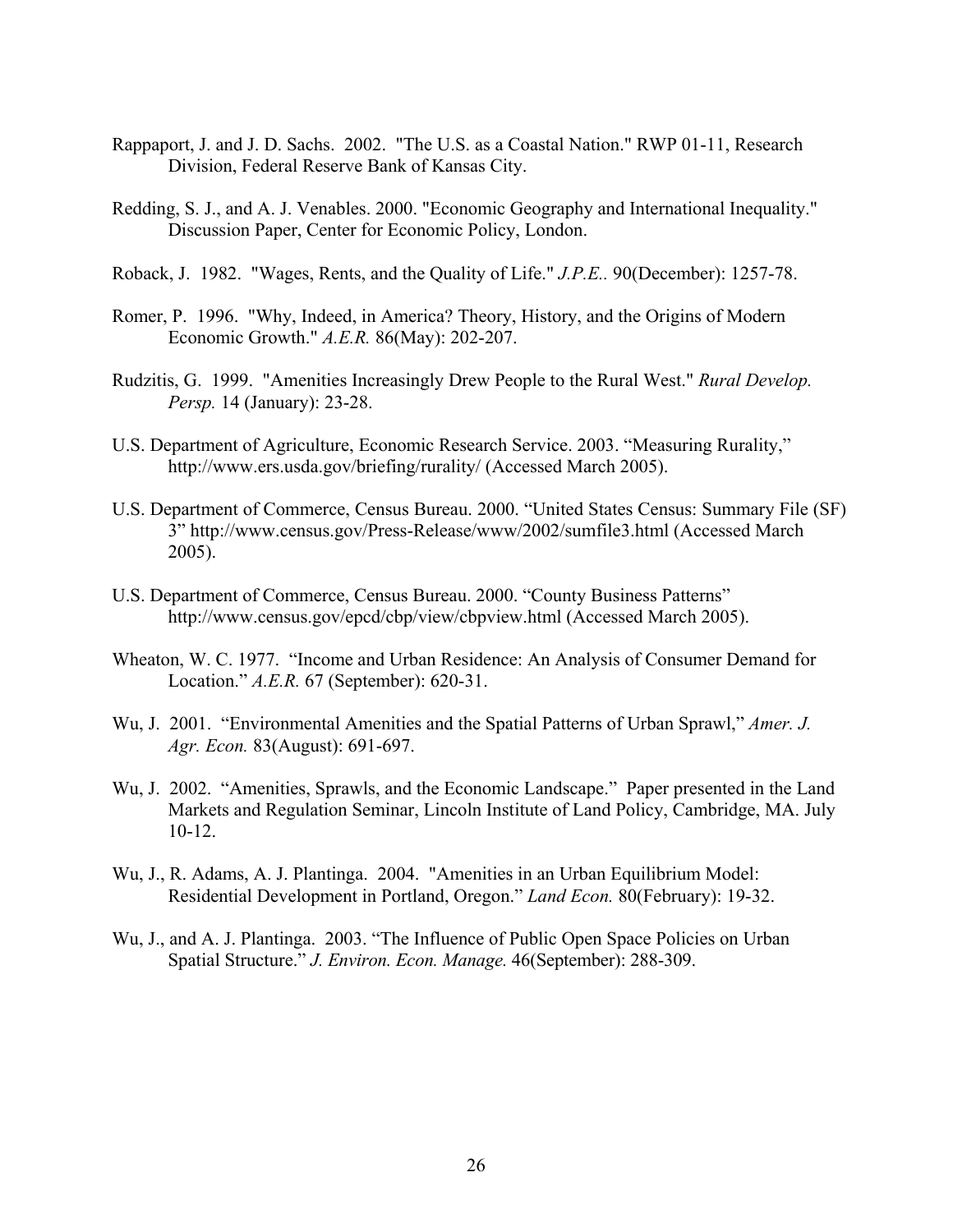- Rappaport, J. and J. D. Sachs. 2002. "The U.S. as a Coastal Nation." RWP 01-11, Research Division, Federal Reserve Bank of Kansas City.
- Redding, S. J., and A. J. Venables. 2000. "Economic Geography and International Inequality." Discussion Paper, Center for Economic Policy, London.
- Roback, J. 1982. "Wages, Rents, and the Quality of Life." *J.P.E..* 90(December): 1257-78.
- Romer, P. 1996. "Why, Indeed, in America? Theory, History, and the Origins of Modern Economic Growth." *A.E.R.* 86(May): 202-207.
- Rudzitis, G. 1999. "Amenities Increasingly Drew People to the Rural West." *Rural Develop. Persp.* 14 (January): 23-28.
- U.S. Department of Agriculture, Economic Research Service. 2003. "Measuring Rurality," http://www.ers.usda.gov/briefing/rurality/ (Accessed March 2005).
- U.S. Department of Commerce, Census Bureau. 2000. "United States Census: Summary File (SF) 3" http://www.census.gov/Press-Release/www/2002/sumfile3.html (Accessed March 2005).
- U.S. Department of Commerce, Census Bureau. 2000. "County Business Patterns" http://www.census.gov/epcd/cbp/view/cbpview.html (Accessed March 2005).
- Wheaton, W. C. 1977. "Income and Urban Residence: An Analysis of Consumer Demand for Location." *A.E.R.* 67 (September): 620-31.
- Wu, J. 2001. "Environmental Amenities and the Spatial Patterns of Urban Sprawl," *Amer. J. Agr. Econ.* 83(August): 691-697.
- Wu, J. 2002. "Amenities, Sprawls, and the Economic Landscape." Paper presented in the Land Markets and Regulation Seminar, Lincoln Institute of Land Policy, Cambridge, MA. July 10-12.
- Wu, J., R. Adams, A. J. Plantinga. 2004. "Amenities in an Urban Equilibrium Model: Residential Development in Portland, Oregon." *Land Econ.* 80(February): 19-32.
- Wu, J., and A. J. Plantinga. 2003. "The Influence of Public Open Space Policies on Urban Spatial Structure." *J. Environ. Econ. Manage.* 46(September): 288-309.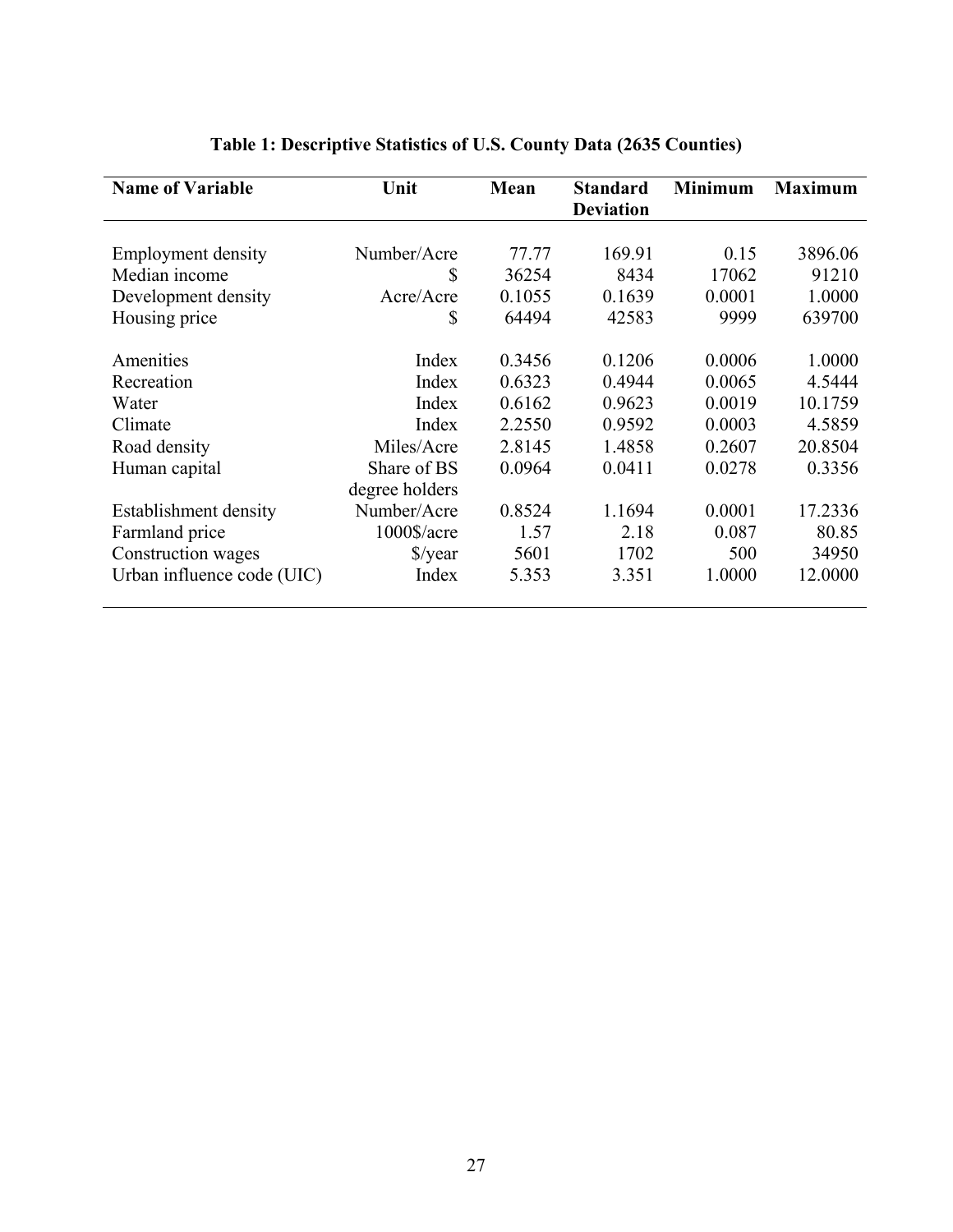| <b>Name of Variable</b>    | Unit                 | Mean   | <b>Standard</b><br><b>Deviation</b> | <b>Minimum</b> | <b>Maximum</b> |
|----------------------------|----------------------|--------|-------------------------------------|----------------|----------------|
|                            |                      |        |                                     |                |                |
| <b>Employment density</b>  | Number/Acre          | 77.77  | 169.91                              | 0.15           | 3896.06        |
| Median income              | \$                   | 36254  | 8434                                | 17062          | 91210          |
| Development density        | Acre/Acre            | 0.1055 | 0.1639                              | 0.0001         | 1.0000         |
| Housing price              | \$                   | 64494  | 42583                               | 9999           | 639700         |
| Amenities                  | Index                | 0.3456 | 0.1206                              | 0.0006         | 1.0000         |
| Recreation                 | Index                | 0.6323 | 0.4944                              | 0.0065         | 4.5444         |
| Water                      | Index                | 0.6162 | 0.9623                              | 0.0019         | 10.1759        |
| Climate                    | Index                | 2.2550 | 0.9592                              | 0.0003         | 4.5859         |
| Road density               | Miles/Acre           | 2.8145 | 1.4858                              | 0.2607         | 20.8504        |
| Human capital              | Share of BS          | 0.0964 | 0.0411                              | 0.0278         | 0.3356         |
|                            | degree holders       |        |                                     |                |                |
| Establishment density      | Number/Acre          | 0.8524 | 1.1694                              | 0.0001         | 17.2336        |
| Farmland price             | 1000\$/acre          | 1.57   | 2.18                                | 0.087          | 80.85          |
| Construction wages         | $\frac{\sqrt{2}}{2}$ | 5601   | 1702                                | 500            | 34950          |
| Urban influence code (UIC) | Index                | 5.353  | 3.351                               | 1.0000         | 12.0000        |

# **Table 1: Descriptive Statistics of U.S. County Data (2635 Counties)**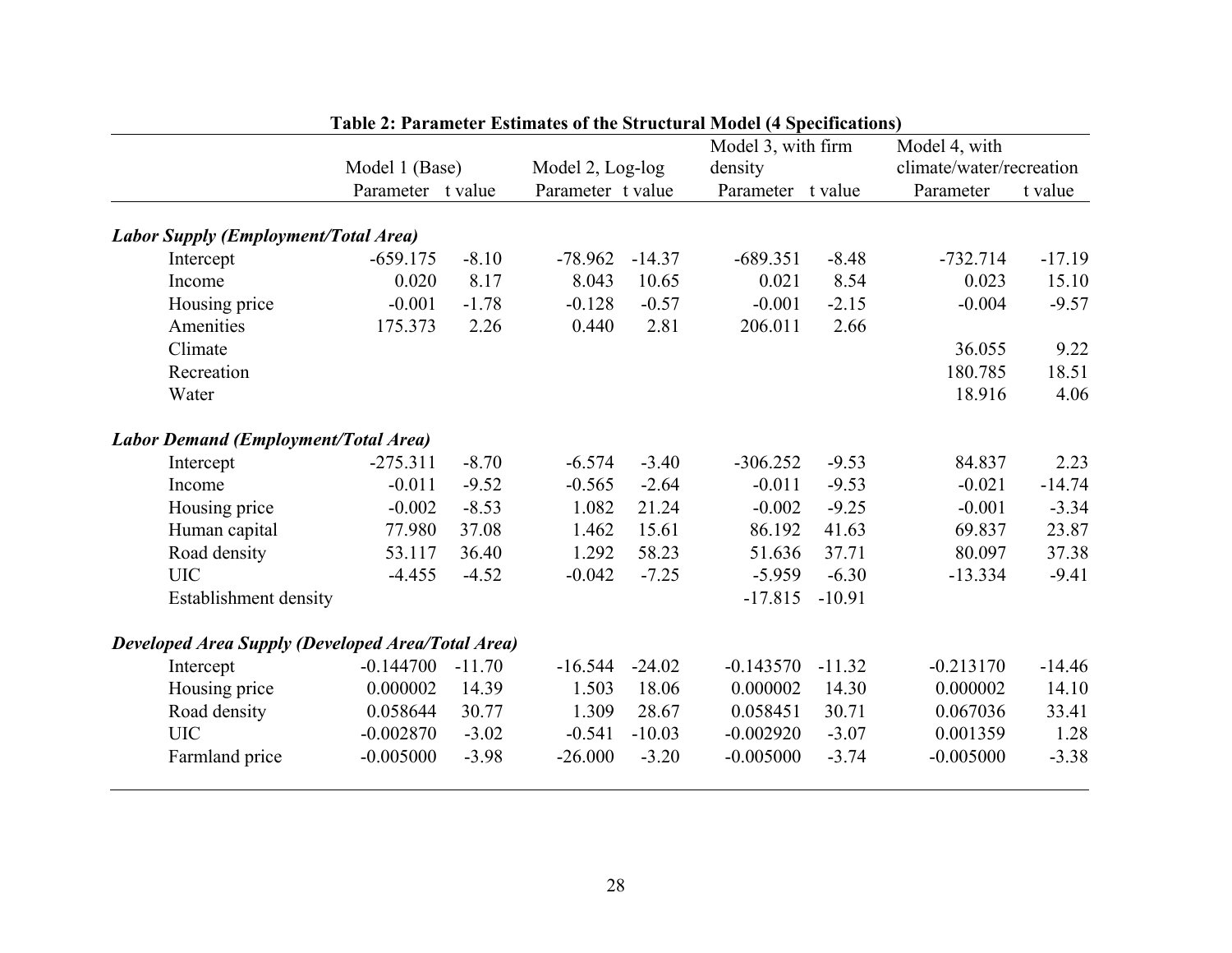|                                                          |                   | Model 1 (Base) |                   |          | Model 3, with firm<br>density |          | Model 4, with<br>climate/water/recreation |          |
|----------------------------------------------------------|-------------------|----------------|-------------------|----------|-------------------------------|----------|-------------------------------------------|----------|
|                                                          |                   |                | Model 2, Log-log  |          |                               |          |                                           |          |
|                                                          | Parameter t value |                | Parameter t value |          | Parameter t value             |          | Parameter                                 | t value  |
| <b>Labor Supply (Employment/Total Area)</b>              |                   |                |                   |          |                               |          |                                           |          |
| Intercept                                                | $-659.175$        | $-8.10$        | $-78.962$         | $-14.37$ | $-689.351$                    | $-8.48$  | $-732.714$                                | $-17.19$ |
| Income                                                   | 0.020             | 8.17           | 8.043             | 10.65    | 0.021                         | 8.54     | 0.023                                     | 15.10    |
| Housing price                                            | $-0.001$          | $-1.78$        | $-0.128$          | $-0.57$  | $-0.001$                      | $-2.15$  | $-0.004$                                  | $-9.57$  |
| Amenities                                                | 175.373           | 2.26           | 0.440             | 2.81     | 206.011                       | 2.66     |                                           |          |
| Climate                                                  |                   |                |                   |          |                               |          | 36.055                                    | 9.22     |
| Recreation                                               |                   |                |                   |          |                               |          | 180.785                                   | 18.51    |
| Water                                                    |                   |                |                   |          |                               |          | 18.916                                    | 4.06     |
| <b>Labor Demand (Employment/Total Area)</b>              |                   |                |                   |          |                               |          |                                           |          |
| Intercept                                                | $-275.311$        | $-8.70$        | $-6.574$          | $-3.40$  | $-306.252$                    | $-9.53$  | 84.837                                    | 2.23     |
| Income                                                   | $-0.011$          | $-9.52$        | $-0.565$          | $-2.64$  | $-0.011$                      | $-9.53$  | $-0.021$                                  | $-14.74$ |
| Housing price                                            | $-0.002$          | $-8.53$        | 1.082             | 21.24    | $-0.002$                      | $-9.25$  | $-0.001$                                  | $-3.34$  |
| Human capital                                            | 77.980            | 37.08          | 1.462             | 15.61    | 86.192                        | 41.63    | 69.837                                    | 23.87    |
| Road density                                             | 53.117            | 36.40          | 1.292             | 58.23    | 51.636                        | 37.71    | 80.097                                    | 37.38    |
| <b>UIC</b>                                               | $-4.455$          | $-4.52$        | $-0.042$          | $-7.25$  | $-5.959$                      | $-6.30$  | $-13.334$                                 | $-9.41$  |
| Establishment density                                    |                   |                |                   |          | $-17.815$                     | $-10.91$ |                                           |          |
| <b>Developed Area Supply (Developed Area/Total Area)</b> |                   |                |                   |          |                               |          |                                           |          |
| Intercept                                                | $-0.144700$       | $-11.70$       | $-16.544$         | $-24.02$ | $-0.143570$                   | $-11.32$ | $-0.213170$                               | $-14.46$ |
| Housing price                                            | 0.000002          | 14.39          | 1.503             | 18.06    | 0.000002                      | 14.30    | 0.000002                                  | 14.10    |
| Road density                                             | 0.058644          | 30.77          | 1.309             | 28.67    | 0.058451                      | 30.71    | 0.067036                                  | 33.41    |
| <b>UIC</b>                                               | $-0.002870$       | $-3.02$        | $-0.541$          | $-10.03$ | $-0.002920$                   | $-3.07$  | 0.001359                                  | 1.28     |
| Farmland price                                           | $-0.005000$       | $-3.98$        | $-26.000$         | $-3.20$  | $-0.005000$                   | $-3.74$  | $-0.005000$                               | $-3.38$  |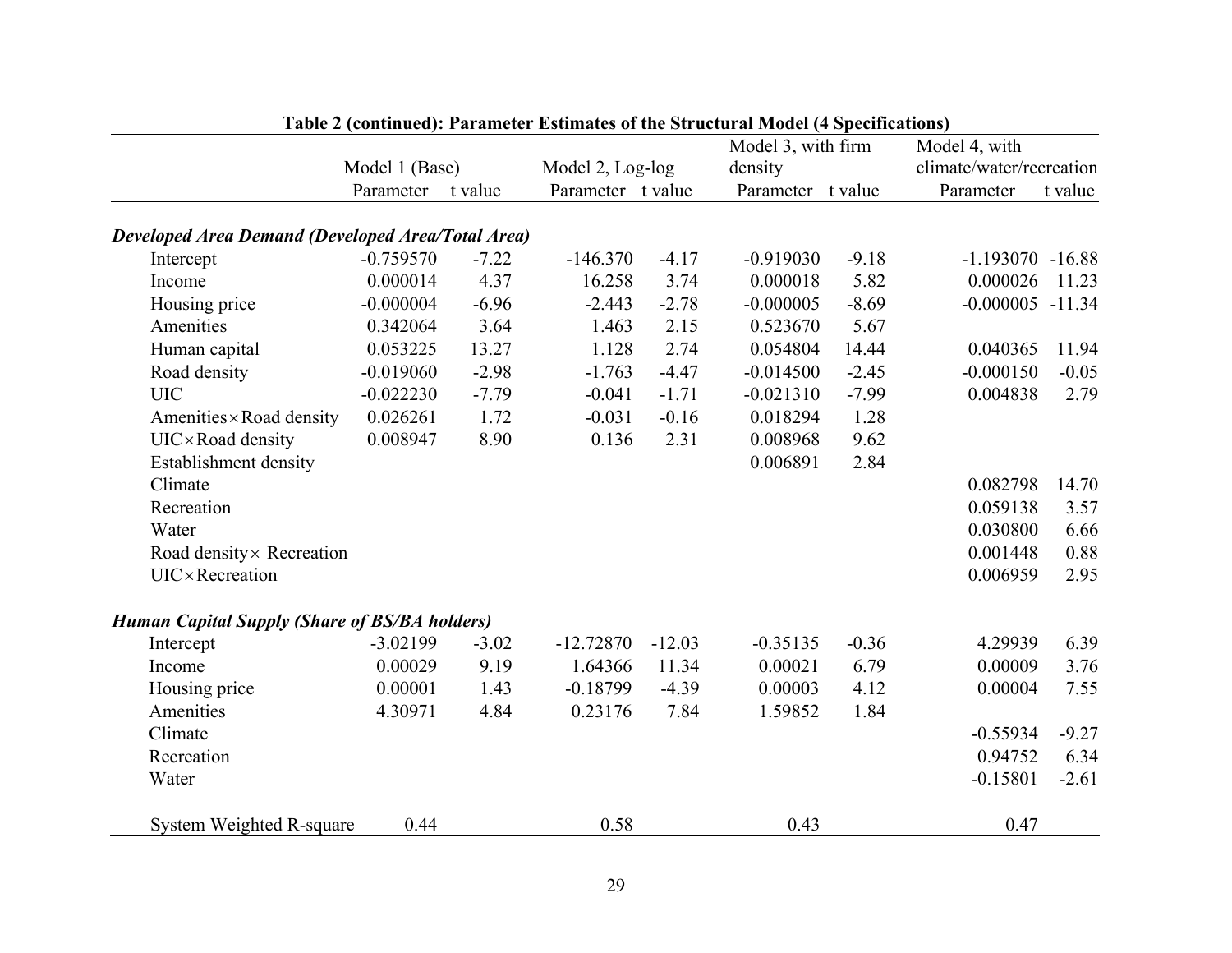|                                                          |                |         |                   |          | Model 3, with firm |         | Model 4, with            |         |
|----------------------------------------------------------|----------------|---------|-------------------|----------|--------------------|---------|--------------------------|---------|
|                                                          | Model 1 (Base) |         | Model 2, Log-log  |          | density            |         | climate/water/recreation |         |
|                                                          | Parameter      | t value | Parameter t value |          | Parameter t value  |         | Parameter                | t value |
| <b>Developed Area Demand (Developed Area/Total Area)</b> |                |         |                   |          |                    |         |                          |         |
| Intercept                                                | $-0.759570$    | $-7.22$ | $-146.370$        | $-4.17$  | $-0.919030$        | $-9.18$ | $-1.193070 - 16.88$      |         |
| Income                                                   | 0.000014       | 4.37    | 16.258            | 3.74     | 0.000018           | 5.82    | 0.000026                 | 11.23   |
| Housing price                                            | $-0.000004$    | $-6.96$ | $-2.443$          | $-2.78$  | $-0.000005$        | $-8.69$ | $-0.000005 -11.34$       |         |
| Amenities                                                | 0.342064       | 3.64    | 1.463             | 2.15     | 0.523670           | 5.67    |                          |         |
| Human capital                                            | 0.053225       | 13.27   | 1.128             | 2.74     | 0.054804           | 14.44   | 0.040365                 | 11.94   |
| Road density                                             | $-0.019060$    | $-2.98$ | $-1.763$          | $-4.47$  | $-0.014500$        | $-2.45$ | $-0.000150$              | $-0.05$ |
| <b>UIC</b>                                               | $-0.022230$    | $-7.79$ | $-0.041$          | $-1.71$  | $-0.021310$        | $-7.99$ | 0.004838                 | 2.79    |
| Amenities × Road density                                 | 0.026261       | 1.72    | $-0.031$          | $-0.16$  | 0.018294           | 1.28    |                          |         |
| $UIC \times Road$ density                                | 0.008947       | 8.90    | 0.136             | 2.31     | 0.008968           | 9.62    |                          |         |
| <b>Establishment density</b>                             |                |         |                   |          | 0.006891           | 2.84    |                          |         |
| Climate                                                  |                |         |                   |          |                    |         | 0.082798                 | 14.70   |
| Recreation                                               |                |         |                   |          |                    |         | 0.059138                 | 3.57    |
| Water                                                    |                |         |                   |          |                    |         | 0.030800                 | 6.66    |
| Road density × Recreation                                |                |         |                   |          |                    |         | 0.001448                 | 0.88    |
| <b>UIC</b> ×Recreation                                   |                |         |                   |          |                    |         | 0.006959                 | 2.95    |
| <b>Human Capital Supply (Share of BS/BA holders)</b>     |                |         |                   |          |                    |         |                          |         |
| Intercept                                                | $-3.02199$     | $-3.02$ | $-12.72870$       | $-12.03$ | $-0.35135$         | $-0.36$ | 4.29939                  | 6.39    |
| Income                                                   | 0.00029        | 9.19    | 1.64366           | 11.34    | 0.00021            | 6.79    | 0.00009                  | 3.76    |
| Housing price                                            | 0.00001        | 1.43    | $-0.18799$        | $-4.39$  | 0.00003            | 4.12    | 0.00004                  | 7.55    |
| Amenities                                                | 4.30971        | 4.84    | 0.23176           | 7.84     | 1.59852            | 1.84    |                          |         |
| Climate                                                  |                |         |                   |          |                    |         | $-0.55934$               | $-9.27$ |
| Recreation                                               |                |         |                   |          |                    |         | 0.94752                  | 6.34    |
| Water                                                    |                |         |                   |          |                    |         | $-0.15801$               | $-2.61$ |
| System Weighted R-square                                 | 0.44           |         | 0.58              |          | 0.43               |         | 0.47                     |         |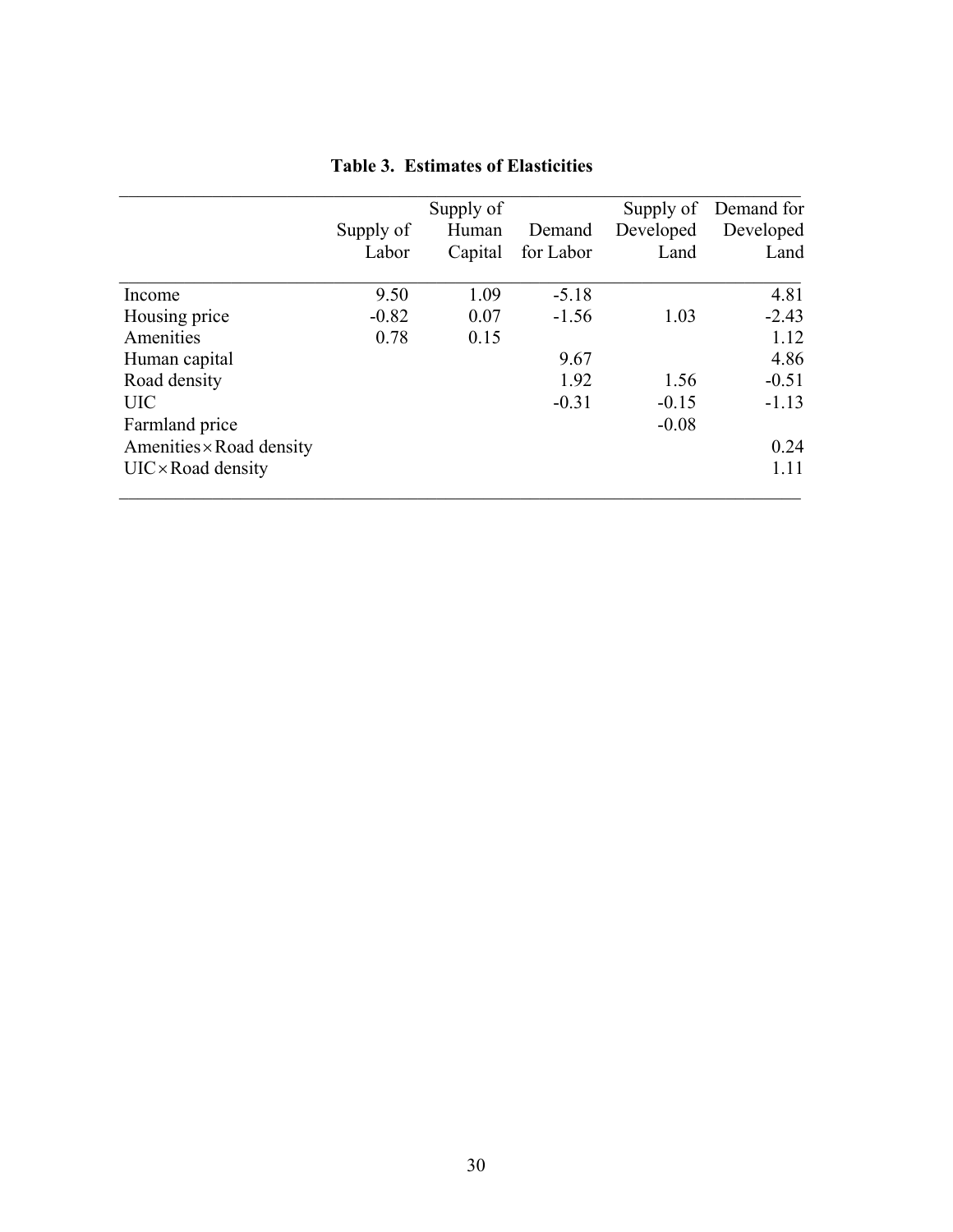|                                 |           | Supply of |           |           | Supply of Demand for |
|---------------------------------|-----------|-----------|-----------|-----------|----------------------|
|                                 | Supply of | Human     | Demand    | Developed | Developed            |
|                                 | Labor     | Capital   | for Labor | Land      | Land                 |
| Income                          | 9.50      | 1.09      | $-5.18$   |           | 4.81                 |
| Housing price                   | $-0.82$   | 0.07      | $-1.56$   | 1.03      | $-2.43$              |
| Amenities                       | 0.78      | 0.15      |           |           | 1.12                 |
| Human capital                   |           |           | 9.67      |           | 4.86                 |
| Road density                    |           |           | 1.92      | 1.56      | $-0.51$              |
| <b>UIC</b>                      |           |           | $-0.31$   | $-0.15$   | $-1.13$              |
| Farmland price                  |           |           |           | $-0.08$   |                      |
| Amenities $\times$ Road density |           |           |           |           | 0.24                 |
| $UIC \times Road$ density       |           |           |           |           | 1.11                 |

## **Table 3. Estimates of Elasticities**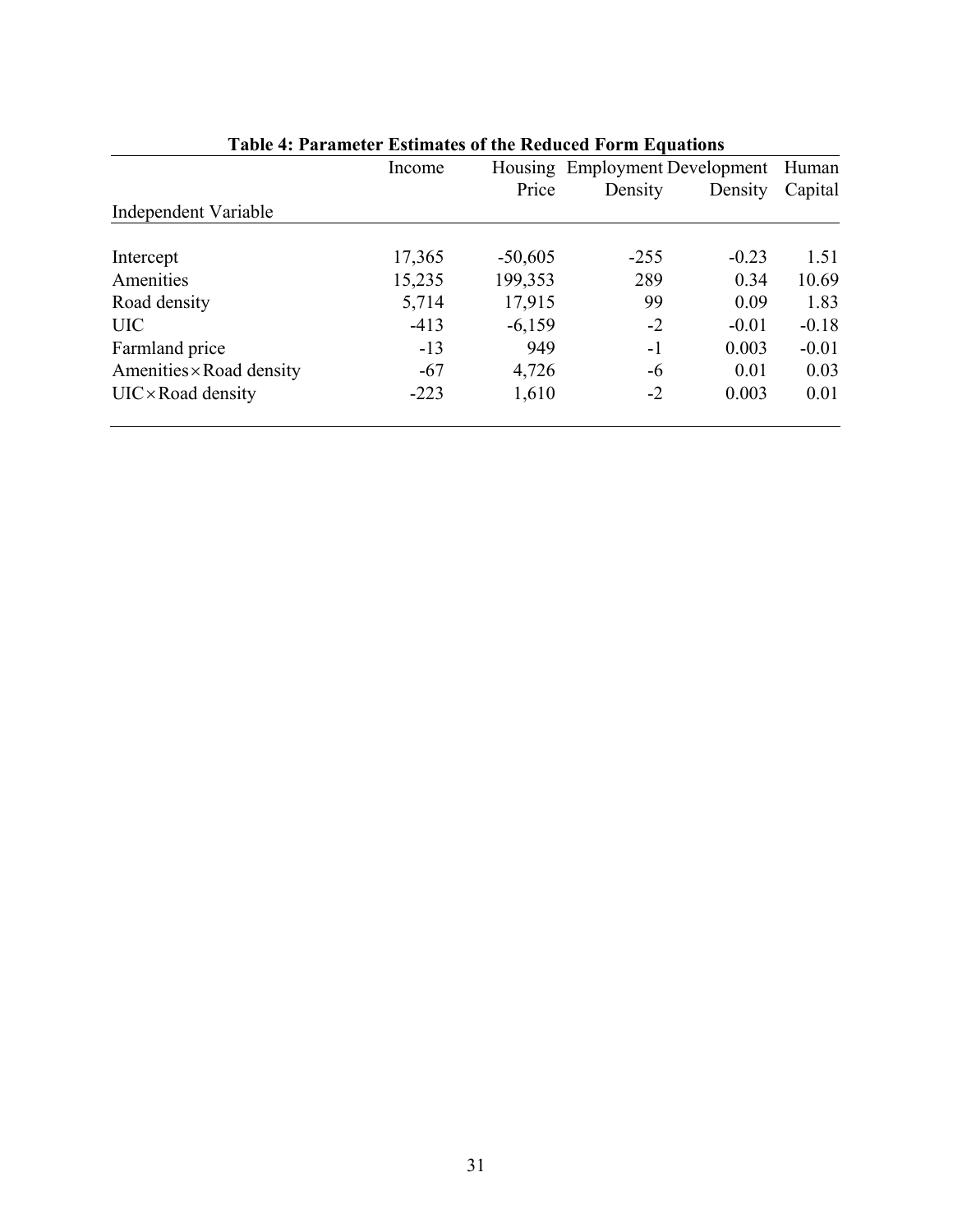|                                 | Income | Housing   |         | <b>Employment Development</b> | Human   |
|---------------------------------|--------|-----------|---------|-------------------------------|---------|
|                                 |        | Price     | Density | Density                       | Capital |
| Independent Variable            |        |           |         |                               |         |
| Intercept                       | 17,365 | $-50,605$ | $-255$  | $-0.23$                       | 1.51    |
| Amenities                       | 15,235 | 199,353   | 289     | 0.34                          | 10.69   |
| Road density                    | 5,714  | 17,915    | 99      | 0.09                          | 1.83    |
| <b>UIC</b>                      | $-413$ | $-6,159$  | $-2$    | $-0.01$                       | $-0.18$ |
| Farmland price                  | $-13$  | 949       | $-1$    | 0.003                         | $-0.01$ |
| Amenities $\times$ Road density | $-67$  | 4,726     | -6      | 0.01                          | 0.03    |
| $UIC \times Road$ density       | $-223$ | 1,610     | $-2$    | 0.003                         | 0.01    |

# **Table 4: Parameter Estimates of the Reduced Form Equations**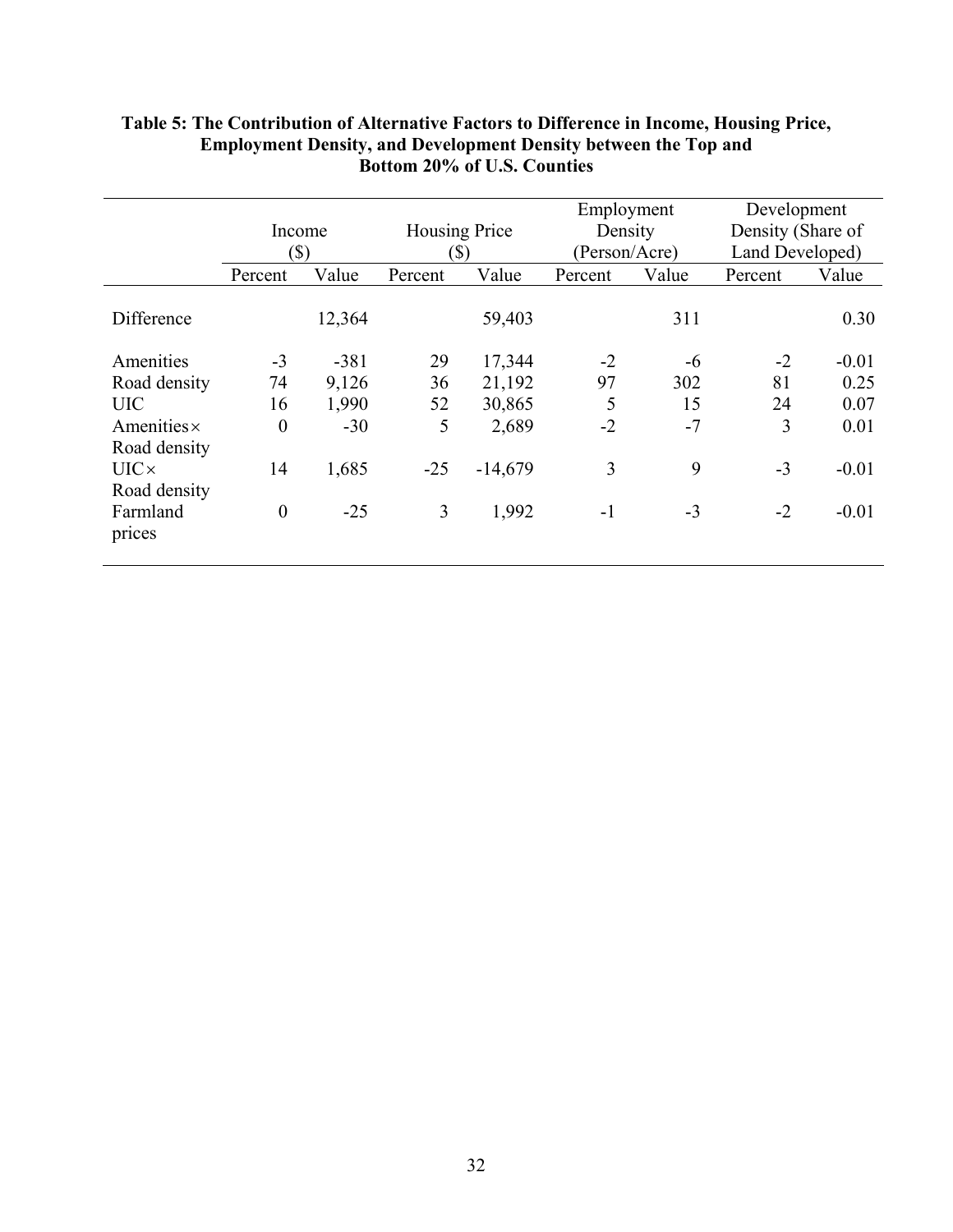|                    |                  |        |               |           | Employment    |       | Development       |         |
|--------------------|------------------|--------|---------------|-----------|---------------|-------|-------------------|---------|
|                    |                  | Income | Housing Price |           | Density       |       | Density (Share of |         |
|                    |                  | (\$)   |               | [S]       | (Person/Acre) |       | Land Developed)   |         |
|                    | Percent          | Value  | Percent       | Value     | Percent       | Value | Percent           | Value   |
| Difference         |                  | 12,364 |               | 59,403    |               | 311   |                   | 0.30    |
| Amenities          | $-3$             | $-381$ | 29            | 17,344    | $-2$          | -6    | $-2$              | $-0.01$ |
| Road density       | 74               | 9,126  | 36            | 21,192    | 97            | 302   | 81                | 0.25    |
| <b>UIC</b>         | 16               | 1,990  | 52            | 30,865    | 5             | 15    | 24                | 0.07    |
| Amenities $\times$ | $\boldsymbol{0}$ | $-30$  | 5             | 2,689     | $-2$          | $-7$  | 3                 | 0.01    |
| Road density       |                  |        |               |           |               |       |                   |         |
| $UIC \times$       | 14               | 1,685  | $-25$         | $-14,679$ | 3             | 9     | $-3$              | $-0.01$ |
| Road density       |                  |        |               |           |               |       |                   |         |
| Farmland           | $\overline{0}$   | $-25$  | 3             | 1,992     | $-1$          | $-3$  | $-2$              | $-0.01$ |
| prices             |                  |        |               |           |               |       |                   |         |

## **Table 5: The Contribution of Alternative Factors to Difference in Income, Housing Price, Employment Density, and Development Density between the Top and Bottom 20% of U.S. Counties**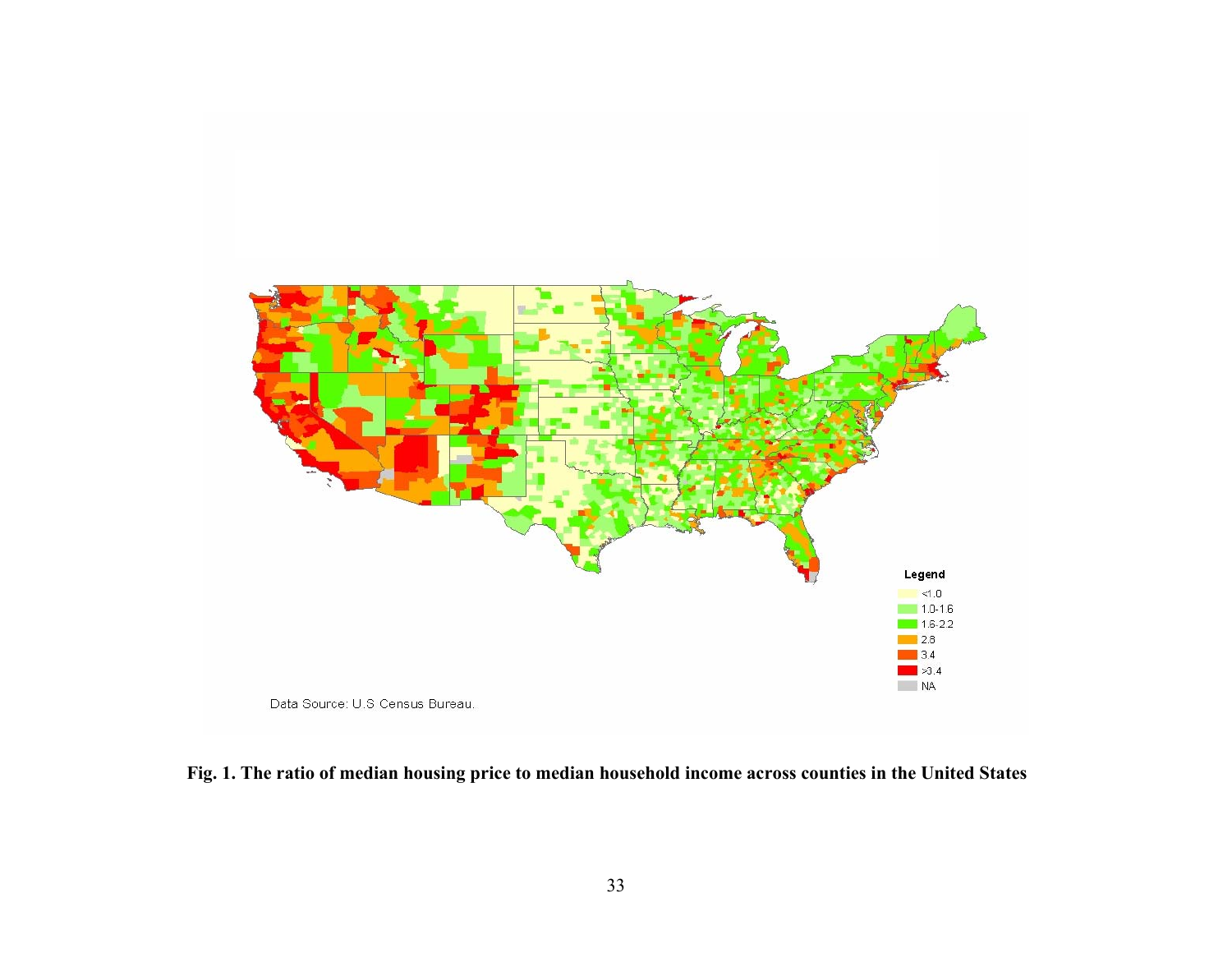

**Fig. 1. The ratio of median housing price to median household income across counties in the United States**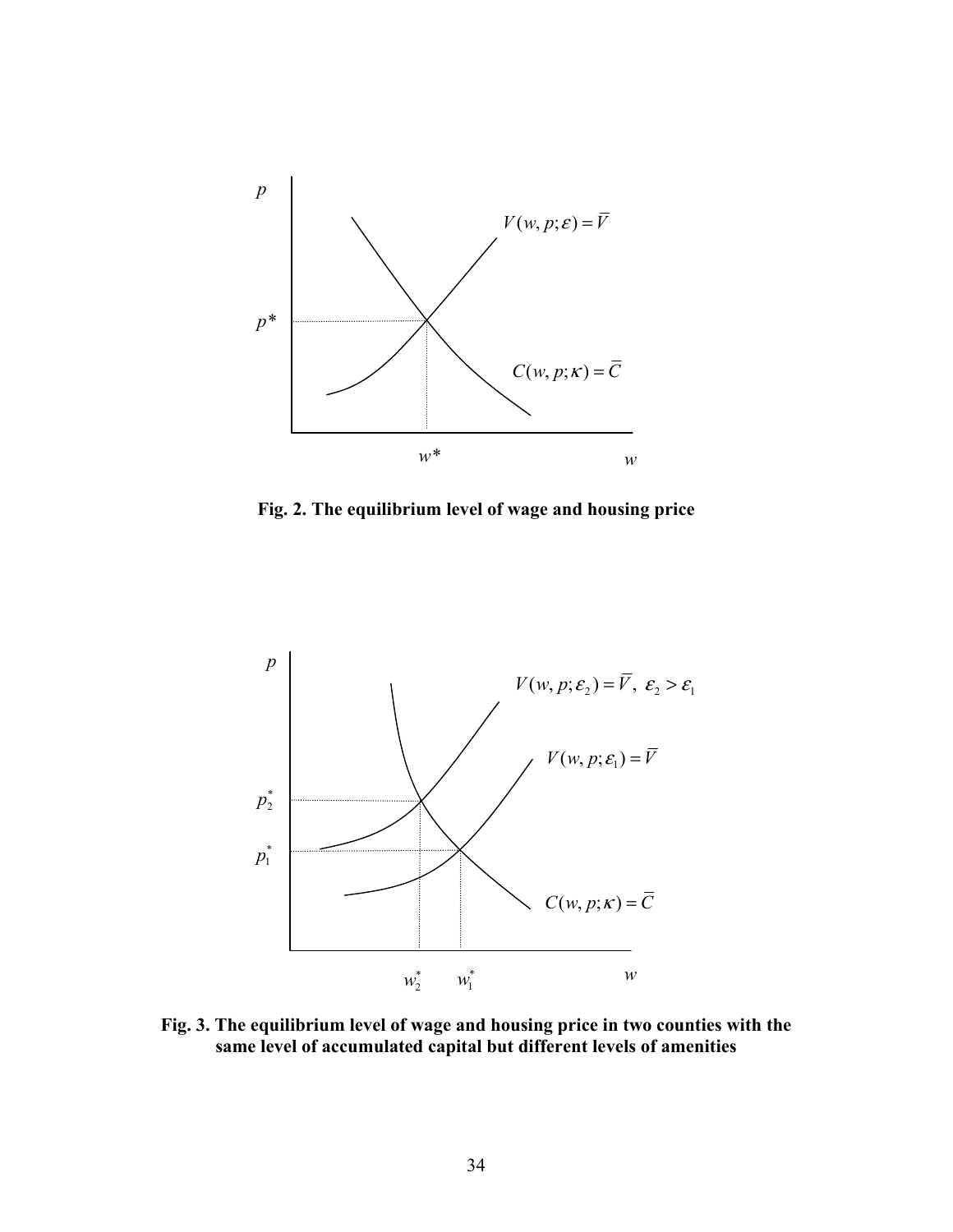

**Fig. 2. The equilibrium level of wage and housing price** 



**Fig. 3. The equilibrium level of wage and housing price in two counties with the same level of accumulated capital but different levels of amenities**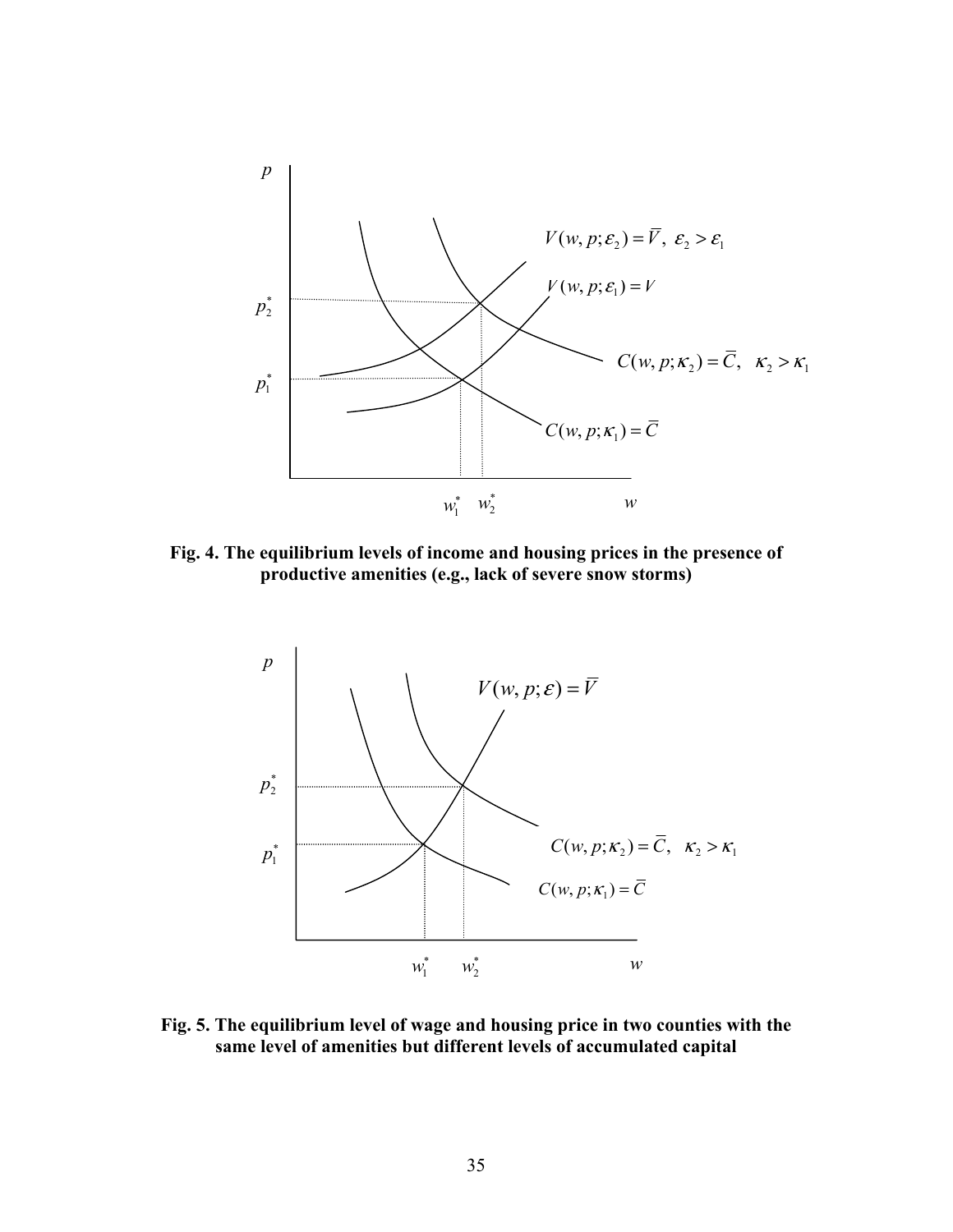

**Fig. 4. The equilibrium levels of income and housing prices in the presence of productive amenities (e.g., lack of severe snow storms)** 



**Fig. 5. The equilibrium level of wage and housing price in two counties with the same level of amenities but different levels of accumulated capital**